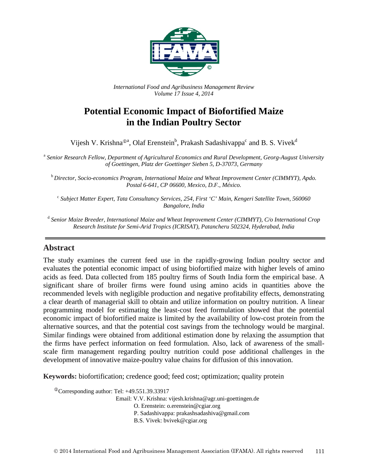

*International Food and Agribusiness Management Review Volume 17 Issue 4, 2014*

# **Potential Economic Impact of Biofortified Maize in the Indian Poultry Sector**

Vijesh V. Krishna<sup>®a</sup>, Olaf Erenstein<sup>b</sup>, Prakash Sadashivappa<sup>c</sup> and B. S. Vivek<sup>d</sup>

<sup>a</sup> *Senior Research Fellow, Department of Agricultural Economics and Rural Development, Georg-August University of Goettingen, Platz der Goettinger Sieben 5, D-37073, Germany*

<sup>b</sup> *Director, Socio-economics Program, International Maize and Wheat Improvement Center (CIMMYT), Apdo. Postal 6-641, CP 06600, Mexico, D.F., México.*

<sup>c</sup> *Subject Matter Expert, Tata Consultancy Services, 254, First 'C' Main, Kengeri Satellite Town*, *560060 Bangalore, India*

<sup>d</sup> *Senior Maize Breeder, International Maize and Wheat Improvement Center (CIMMYT), C/o International Crop Research Institute for Semi-Arid Tropics (ICRISAT), Patancheru 502324, Hyderabad, India*

### **Abstract**

The study examines the current feed use in the rapidly-growing Indian poultry sector and evaluates the potential economic impact of using biofortified maize with higher levels of amino acids as feed. Data collected from 185 poultry firms of South India form the empirical base. A significant share of broiler firms were found using amino acids in quantities above the recommended levels with negligible production and negative profitability effects, demonstrating a clear dearth of managerial skill to obtain and utilize information on poultry nutrition. A linear programming model for estimating the least-cost feed formulation showed that the potential economic impact of biofortified maize is limited by the availability of low-cost protein from the alternative sources, and that the potential cost savings from the technology would be marginal. Similar findings were obtained from additional estimation done by relaxing the assumption that the firms have perfect information on feed formulation. Also, lack of awareness of the smallscale firm management regarding poultry nutrition could pose additional challenges in the development of innovative maize-poultry value chains for diffusion of this innovation.

**Keywords:** biofortification; credence good; feed cost; optimization; quality protein

 $^{\circ}$ Corresponding author: Tel: +49.551.39.33917

Email: V.V. Krishna: vijesh.krishna@agr.uni-goettingen.de

O. Erenstein: o.erenstein@cgiar.org

P. Sadashivappa: prakashsadashiva@gmail.com

B.S. Vivek: bvivek@cgiar.org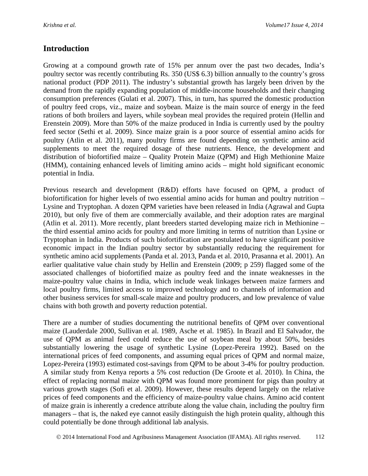## **Introduction**

Growing at a compound growth rate of 15% per annum over the past two decades, India's poultry sector was recently contributing Rs. 350 (US\$ 6.3) billion annually to the country's gross national product (PDP 2011). The industry's substantial growth has largely been driven by the demand from the rapidly expanding population of middle-income households and their changing consumption preferences (Gulati et al. 2007). This, in turn, has spurred the domestic production of poultry feed crops, viz., maize and soybean. Maize is the main source of energy in the feed rations of both broilers and layers, while soybean meal provides the required protein (Hellin and Erenstein 2009). More than 50% of the maize produced in India is currently used by the poultry feed sector (Sethi et al. 2009). Since maize grain is a poor source of essential amino acids for poultry (Atlin et al. 2011), many poultry firms are found depending on synthetic amino acid supplements to meet the required dosage of these nutrients. Hence, the development and distribution of biofortified maize – Quality Protein Maize (QPM) and High Methionine Maize (HMM), containing enhanced levels of limiting amino acids – might hold significant economic potential in India.

Previous research and development (R&D) efforts have focused on QPM, a product of biofortification for higher levels of two essential amino acids for human and poultry nutrition – Lysine and Tryptophan. A dozen QPM varieties have been released in India (Agrawal and Gupta 2010), but only five of them are commercially available, and their adoption rates are marginal (Atlin et al. 2011). More recently, plant breeders started developing maize rich in Methionine – the third essential amino acids for poultry and more limiting in terms of nutrition than Lysine or Tryptophan in India. Products of such biofortification are postulated to have significant positive economic impact in the Indian poultry sector by substantially reducing the requirement for synthetic amino acid supplements (Panda et al. 2013, Panda et al. 2010, Prasanna et al. 2001). An earlier qualitative value chain study by Hellin and Erenstein (2009; p 259) flagged some of the associated challenges of biofortified maize as poultry feed and the innate weaknesses in the maize-poultry value chains in India, which include weak linkages between maize farmers and local poultry firms, limited access to improved technology and to channels of information and other business services for small-scale maize and poultry producers, and low prevalence of value chains with both growth and poverty reduction potential.

There are a number of studies documenting the nutritional benefits of QPM over conventional maize (Lauderdale 2000, Sullivan et al. 1989, Asche et al. 1985). In Brazil and El Salvador, the use of QPM as animal feed could reduce the use of soybean meal by about 50%, besides substantially lowering the usage of synthetic Lysine (Lopez-Pereira 1992). Based on the international prices of feed components, and assuming equal prices of QPM and normal maize, Lopez-Pereira (1993) estimated cost-savings from QPM to be about 3-4% for poultry production. A similar study from Kenya reports a 5% cost reduction (De Groote et al. 2010). In China, the effect of replacing normal maize with QPM was found more prominent for pigs than poultry at various growth stages (Sofi et al. 2009). However, these results depend largely on the relative prices of feed components and the efficiency of maize-poultry value chains. Amino acid content of maize grain is inherently a credence attribute along the value chain, including the poultry firm managers – that is, the naked eye cannot easily distinguish the high protein quality, although this could potentially be done through additional lab analysis.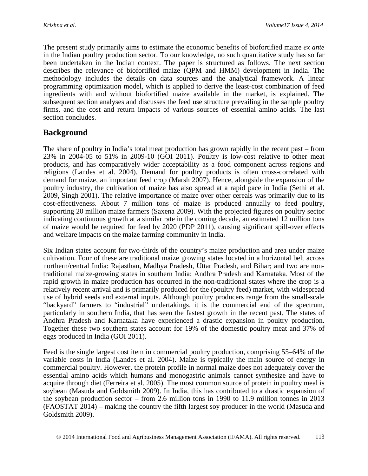The present study primarily aims to estimate the economic benefits of biofortified maize *ex ante* in the Indian poultry production sector. To our knowledge, no such quantitative study has so far been undertaken in the Indian context. The paper is structured as follows. The next section describes the relevance of biofortified maize (QPM and HMM) development in India. The methodology includes the details on data sources and the analytical framework. A linear programming optimization model, which is applied to derive the least-cost combination of feed ingredients with and without biofortified maize available in the market, is explained. The subsequent section analyses and discusses the feed use structure prevailing in the sample poultry firms, and the cost and return impacts of various sources of essential amino acids. The last section concludes.

## **Background**

The share of poultry in India's total meat production has grown rapidly in the recent past – from 23% in 2004-05 to 51% in 2009-10 (GOI 2011). Poultry is low-cost relative to other meat products, and has comparatively wider acceptability as a food component across regions and religions (Landes et al. 2004). Demand for poultry products is often cross-correlated with demand for maize, an important feed crop (Marsh 2007). Hence, alongside the expansion of the poultry industry, the cultivation of maize has also spread at a rapid pace in India (Sethi et al. 2009, Singh 2001). The relative importance of maize over other cereals was primarily due to its cost-effectiveness. About 7 million tons of maize is produced annually to feed poultry, supporting 20 million maize farmers (Saxena 2009). With the projected figures on poultry sector indicating continuous growth at a similar rate in the coming decade, an estimated 12 million tons of maize would be required for feed by 2020 (PDP 2011), causing significant spill-over effects and welfare impacts on the maize farming community in India.

Six Indian states account for two-thirds of the country's maize production and area under maize cultivation. Four of these are traditional maize growing states located in a horizontal belt across northern/central India: Rajasthan, Madhya Pradesh, Uttar Pradesh, and Bihar; and two are nontraditional maize-growing states in southern India: Andhra Pradesh and Karnataka. Most of the rapid growth in maize production has occurred in the non-traditional states where the crop is a relatively recent arrival and is primarily produced for the (poultry feed) market, with widespread use of hybrid seeds and external inputs. Although poultry producers range from the small-scale "backyard" farmers to "industrial" undertakings, it is the commercial end of the spectrum, particularly in southern India, that has seen the fastest growth in the recent past. The states of Andhra Pradesh and Karnataka have experienced a drastic expansion in poultry production. Together these two southern states account for 19% of the domestic poultry meat and 37% of eggs produced in India (GOI 2011).

Feed is the single largest cost item in commercial poultry production, comprising 55–64% of the variable costs in India (Landes et al. 2004). Maize is typically the main source of energy in commercial poultry. However, the protein profile in normal maize does not adequately cover the essential amino acids which humans and monogastric animals cannot synthesize and have to acquire through diet (Ferreira et al. 2005). The most common source of protein in poultry meal is soybean (Masuda and Goldsmith 2009). In India, this has contributed to a drastic expansion of the soybean production sector – from 2.6 million tons in 1990 to 11.9 million tonnes in 2013 (FAOSTAT 2014) – making the country the fifth largest soy producer in the world (Masuda and Goldsmith 2009).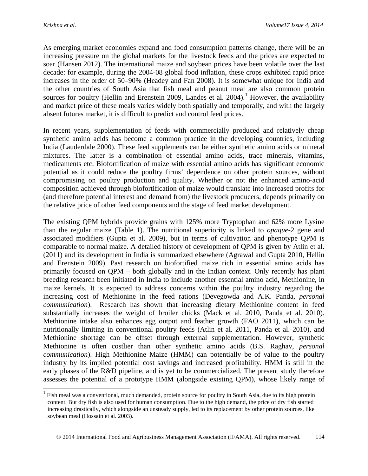$\overline{a}$ 

As emerging market economies expand and food consumption patterns change, there will be an increasing pressure on the global markets for the livestock feeds and the prices are expected to soar (Hansen 2012). The international maize and soybean prices have been volatile over the last decade: for example, during the 2004-08 global food inflation, these crops exhibited rapid price increases in the order of 50–90% (Headey and Fan 2008). It is somewhat unique for India and the other countries of South Asia that fish meal and peanut meal are also common protein sources for poultry (Hellin and Erenstein 2009, Landes et al. 2004).<sup>[1](#page-3-0)</sup> However, the availability and market price of these meals varies widely both spatially and temporally, and with the largely absent futures market, it is difficult to predict and control feed prices.

In recent years, supplementation of feeds with commercially produced and relatively cheap synthetic amino acids has become a common practice in the developing countries, including India (Lauderdale 2000). These feed supplements can be either synthetic amino acids or mineral mixtures. The latter is a combination of essential amino acids, trace minerals, vitamins, medicaments etc. Biofortification of maize with essential amino acids has significant economic potential as it could reduce the poultry firms' dependence on other protein sources, without compromising on poultry production and quality. Whether or not the enhanced amino-acid composition achieved through biofortification of maize would translate into increased profits for (and therefore potential interest and demand from) the livestock producers, depends primarily on the relative price of other feed components and the stage of feed market development.

The existing QPM hybrids provide grains with 125% more Tryptophan and 62% more Lysine than the regular maize (Table 1). The nutritional superiority is linked to *opaque-*2 gene and associated modifiers (Gupta et al. 2009), but in terms of cultivation and phenotype QPM is comparable to normal maize. A detailed history of development of QPM is given by Atlin et al. (2011) and its development in India is summarized elsewhere (Agrawal and Gupta 2010, Hellin and Erenstein 2009). Past research on biofortified maize rich in essential amino acids has primarily focused on QPM – both globally and in the Indian context. Only recently has plant breeding research been initiated in India to include another essential amino acid, Methionine, in maize kernels. It is expected to address concerns within the poultry industry regarding the increasing cost of Methionine in the feed rations (Devegowda and A.K. Panda, *personal communication*). Research has shown that increasing dietary Methionine content in feed substantially increases the weight of broiler chicks (Mack et al. 2010, Panda et al. 2010). Methionine intake also enhances egg output and feather growth (FAO 2011), which can be nutritionally limiting in conventional poultry feeds (Atlin et al. 2011, Panda et al. 2010), and Methionine shortage can be offset through external supplementation. However, synthetic Methionine is often costlier than other synthetic amino acids (B.S. Raghav, *personal communication*). High Methionine Maize (HMM) can potentially be of value to the poultry industry by its implied potential cost savings and increased profitability. HMM is still in the early phases of the R&D pipeline, and is yet to be commercialized. The present study therefore assesses the potential of a prototype HMM (alongside existing QPM), whose likely range of

<span id="page-3-0"></span> $<sup>1</sup>$  Fish meal was a conventional, much demanded, protein source for poultry in South Asia, due to its high protein</sup> content. But dry fish is also used for human consumption. Due to the high demand, the price of dry fish started increasing drastically, which alongside an unsteady supply, led to its replacement by other protein sources, like soybean meal (Hossain et al. 2003).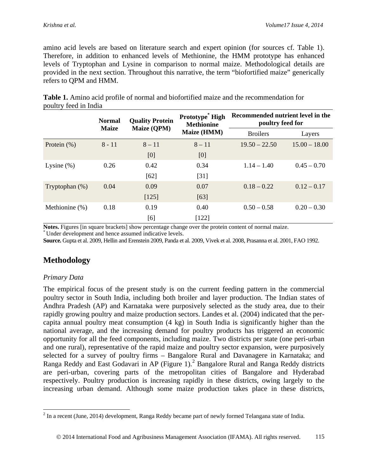amino acid levels are based on literature search and expert opinion (for sources cf. Table 1). Therefore, in addition to enhanced levels of Methionine, the HMM prototype has enhanced levels of Tryptophan and Lysine in comparison to normal maize. Methodological details are provided in the next section. Throughout this narrative, the term "biofortified maize" generically refers to QPM and HMM.

|                   | <b>Normal</b><br><b>Maize</b> | <b>Quality Protein</b> | Prototype <sup>*</sup> High<br><b>Methionine</b> | Recommended nutrient level in the<br>poultry feed for |                 |
|-------------------|-------------------------------|------------------------|--------------------------------------------------|-------------------------------------------------------|-----------------|
|                   |                               | <b>Maize (QPM)</b>     | Maize (HMM)                                      | <b>Broilers</b>                                       | Layers          |
| Protein $(\%)$    | $8 - 11$                      | $8 - 11$               | $8 - 11$                                         | $19.50 - 22.50$                                       | $15.00 - 18.00$ |
|                   |                               | [0]                    | [0]                                              |                                                       |                 |
| Lysine $(\%)$     | 0.26                          | 0.42                   | 0.34                                             | $1.14 - 1.40$                                         | $0.45 - 0.70$   |
|                   |                               | $[62]$                 | [31]                                             |                                                       |                 |
| Tryptophan $(\%)$ | 0.04                          | 0.09                   | 0.07                                             | $0.18 - 0.22$                                         | $0.12 - 0.17$   |
|                   |                               | $[125]$                | [63]                                             |                                                       |                 |
| Methionine (%)    | 0.18                          | 0.19                   | 0.40                                             | $0.50 - 0.58$                                         | $0.20 - 0.30$   |
|                   |                               | [6]                    | $[122]$                                          |                                                       |                 |

**Table 1.** Amino acid profile of normal and biofortified maize and the recommendation for poultry feed in India

**Notes.** Figures [in square brackets] show percentage change over the protein content of normal maize. \* Under development and hence assumed indicative levels.

**Source.** Gupta et al. 2009, Hellin and Erenstein 2009, Panda et al. 2009, Vivek et al. 2008, Prasanna et al. 2001, FAO 1992.

## **Methodology**

### *Primary Data*

The empirical focus of the present study is on the current feeding pattern in the commercial poultry sector in South India, including both broiler and layer production. The Indian states of Andhra Pradesh (AP) and Karnataka were purposively selected as the study area, due to their rapidly growing poultry and maize production sectors. Landes et al. (2004) indicated that the percapita annual poultry meat consumption (4 kg) in South India is significantly higher than the national average, and the increasing demand for poultry products has triggered an economic opportunity for all the feed components, including maize. Two districts per state (one peri-urban and one rural), representative of the rapid maize and poultry sector expansion, were purposively selected for a survey of poultry firms – Bangalore Rural and Davanagere in Karnataka; and Ranga Reddy and East Godavari in AP (Figure 1).<sup>[2](#page-4-0)</sup> Bangalore Rural and Ranga Reddy districts are peri-urban, covering parts of the metropolitan cities of Bangalore and Hyderabad respectively. Poultry production is increasing rapidly in these districts, owing largely to the increasing urban demand. Although some maize production takes place in these districts,

<span id="page-4-0"></span> $2^{2}$  In a recent (June, 2014) development, Ranga Reddy became part of newly formed Telangana state of India.  $\overline{a}$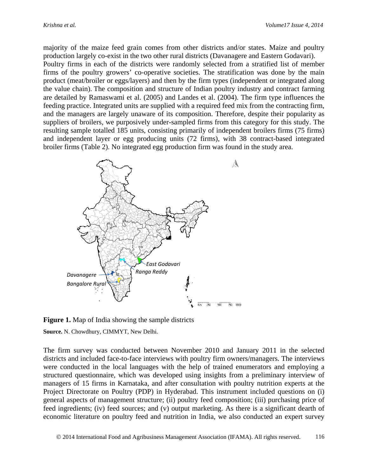majority of the maize feed grain comes from other districts and/or states. Maize and poultry production largely co-exist in the two other rural districts (Davanagere and Eastern Godavari).

Poultry firms in each of the districts were randomly selected from a stratified list of member firms of the poultry growers' co-operative societies. The stratification was done by the main product (meat/broiler or eggs/layers) and then by the firm types (independent or integrated along the value chain). The composition and structure of Indian poultry industry and contract farming are detailed by Ramaswami et al. (2005) and Landes et al. (2004). The firm type influences the feeding practice. Integrated units are supplied with a required feed mix from the contracting firm, and the managers are largely unaware of its composition. Therefore, despite their popularity as suppliers of broilers, we purposively under-sampled firms from this category for this study. The resulting sample totalled 185 units, consisting primarily of independent broilers firms (75 firms) and independent layer or egg producing units (72 firms), with 38 contract-based integrated broiler firms (Table 2). No integrated egg production firm was found in the study area.



**Figure 1.** Map of India showing the sample districts

**Source.** N. Chowdhury, CIMMYT, New Delhi.

The firm survey was conducted between November 2010 and January 2011 in the selected districts and included face-to-face interviews with poultry firm owners/managers. The interviews were conducted in the local languages with the help of trained enumerators and employing a structured questionnaire, which was developed using insights from a preliminary interview of managers of 15 firms in Karnataka, and after consultation with poultry nutrition experts at the Project Directorate on Poultry (PDP) in Hyderabad. This instrument included questions on (i) general aspects of management structure; (ii) poultry feed composition; (iii) purchasing price of feed ingredients; (iv) feed sources; and (v) output marketing. As there is a significant dearth of economic literature on poultry feed and nutrition in India, we also conducted an expert survey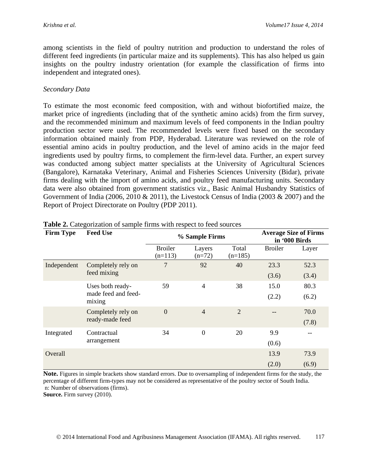among scientists in the field of poultry nutrition and production to understand the roles of different feed ingredients (in particular maize and its supplements). This has also helped us gain insights on the poultry industry orientation (for example the classification of firms into independent and integrated ones).

### *Secondary Data*

To estimate the most economic feed composition, with and without biofortified maize, the market price of ingredients (including that of the synthetic amino acids) from the firm survey, and the recommended minimum and maximum levels of feed components in the Indian poultry production sector were used. The recommended levels were fixed based on the secondary information obtained mainly from PDP, Hyderabad. Literature was reviewed on the role of essential amino acids in poultry production, and the level of amino acids in the major feed ingredients used by poultry firms, to complement the firm-level data. Further, an expert survey was conducted among subject matter specialists at the University of Agricultural Sciences (Bangalore), Karnataka Veterinary, Animal and Fisheries Sciences University (Bidar), private firms dealing with the import of amino acids, and poultry feed manufacturing units. Secondary data were also obtained from government statistics viz., Basic Animal Husbandry Statistics of Government of India (2006, 2010 & 2011), the Livestock Census of India (2003 & 2007) and the Report of Project Directorate on Poultry (PDP 2011).

| <b>Firm Type</b> | <b>Feed Use</b>               |                             | % Sample Firms     |                    |                | <b>Average Size of Firms</b><br>in '000 Birds |
|------------------|-------------------------------|-----------------------------|--------------------|--------------------|----------------|-----------------------------------------------|
|                  |                               | <b>Broiler</b><br>$(n=113)$ | Layers<br>$(n=72)$ | Total<br>$(n=185)$ | <b>Broiler</b> | Layer                                         |
| Independent      | Completely rely on            | 7                           | 92                 | 40                 | 23.3           | 52.3                                          |
|                  | feed mixing                   |                             |                    |                    | (3.6)          | (3.4)                                         |
|                  | Uses both ready-              | 59                          | $\overline{4}$     | 38                 | 15.0           | 80.3                                          |
|                  | made feed and feed-<br>mixing |                             |                    |                    | (2.2)          | (6.2)                                         |
|                  | Completely rely on            | $\overline{0}$              | $\overline{4}$     | $\overline{2}$     | --             | 70.0                                          |
|                  | ready-made feed               |                             |                    |                    |                | (7.8)                                         |
| Integrated       | Contractual                   | 34                          | $\boldsymbol{0}$   | 20                 | 9.9            |                                               |
|                  | arrangement                   |                             |                    |                    | (0.6)          |                                               |
| Overall          |                               |                             |                    |                    | 13.9           | 73.9                                          |
|                  |                               |                             |                    |                    | (2.0)          | (6.9)                                         |

| Table 2. Categorization of sample firms with respect to feed sources |  |  |
|----------------------------------------------------------------------|--|--|
|----------------------------------------------------------------------|--|--|

**Note.** Figures in simple brackets show standard errors. Due to oversampling of independent firms for the study, the percentage of different firm-types may not be considered as representative of the poultry sector of South India. n: Number of observations (firms).

**Source.** Firm survey (2010).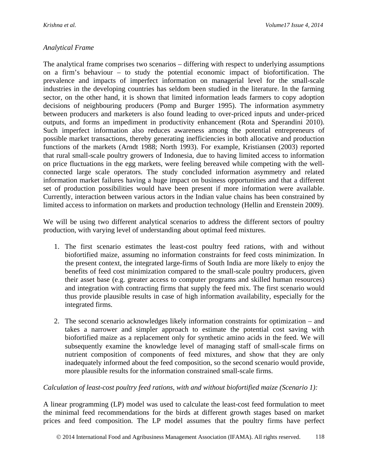## *Analytical Frame*

The analytical frame comprises two scenarios – differing with respect to underlying assumptions on a firm's behaviour – to study the potential economic impact of biofortification. The prevalence and impacts of imperfect information on managerial level for the small-scale industries in the developing countries has seldom been studied in the literature. In the farming sector, on the other hand, it is shown that limited information leads farmers to copy adoption decisions of neighbouring producers (Pomp and Burger 1995). The information asymmetry between producers and marketers is also found leading to over-priced inputs and under-priced outputs, and forms an impediment in productivity enhancement (Rota and Sperandini 2010). Such imperfect information also reduces awareness among the potential entrepreneurs of possible market transactions, thereby generating inefficiencies in both allocative and production functions of the markets (Arndt 1988; North 1993). For example, Kristiansen (2003) reported that rural small-scale poultry growers of Indonesia, due to having limited access to information on price fluctuations in the egg markets, were feeling bereaved while competing with the wellconnected large scale operators. The study concluded information asymmetry and related information market failures having a huge impact on business opportunities and that a different set of production possibilities would have been present if more information were available. Currently, interaction between various actors in the Indian value chains has been constrained by limited access to information on markets and production technology (Hellin and Erenstein 2009).

We will be using two different analytical scenarios to address the different sectors of poultry production, with varying level of understanding about optimal feed mixtures.

- 1. The first scenario estimates the least-cost poultry feed rations, with and without biofortified maize, assuming no information constraints for feed costs minimization. In the present context, the integrated large-firms of South India are more likely to enjoy the benefits of feed cost minimization compared to the small-scale poultry producers, given their asset base (e.g. greater access to computer programs and skilled human resources) and integration with contracting firms that supply the feed mix. The first scenario would thus provide plausible results in case of high information availability, especially for the integrated firms.
- 2. The second scenario acknowledges likely information constraints for optimization and takes a narrower and simpler approach to estimate the potential cost saving with biofortified maize as a replacement only for synthetic amino acids in the feed. We will subsequently examine the knowledge level of managing staff of small-scale firms on nutrient composition of components of feed mixtures, and show that they are only inadequately informed about the feed composition, so the second scenario would provide, more plausible results for the information constrained small-scale firms.

### *Calculation of least-cost poultry feed rations, with and without biofortified maize (Scenario 1):*

A linear programming (LP) model was used to calculate the least-cost feed formulation to meet the minimal feed recommendations for the birds at different growth stages based on market prices and feed composition. The LP model assumes that the poultry firms have perfect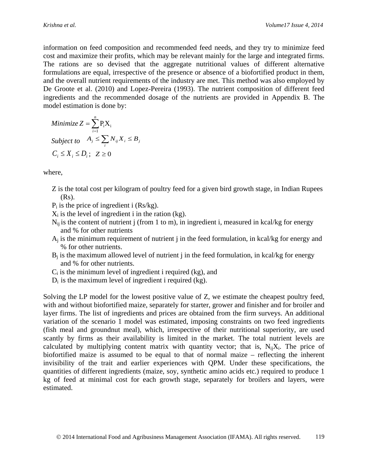information on feed composition and recommended feed needs, and they try to minimize feed cost and maximize their profits, which may be relevant mainly for the large and integrated firms. The rations are so devised that the aggregate nutritional values of different alternative formulations are equal, irrespective of the presence or absence of a biofortified product in them, and the overall nutrient requirements of the industry are met. This method was also employed by De Groote et al. (2010) and Lopez-Pereira (1993). The nutrient composition of different feed ingredients and the recommended dosage of the nutrients are provided in Appendix B. The model estimation is done by:

Minimize 
$$
Z = \sum_{i=1}^{n} P_i X_i
$$
  
Subject to  $A_j \le \sum_i N_{ij} X_i \le B_j$   
 $C_i \le X_i \le D_i$ ;  $Z \ge 0$ 

where,

- Z is the total cost per kilogram of poultry feed for a given bird growth stage, in Indian Rupees (Rs).
- $P_i$  is the price of ingredient i (Rs/kg).
- $X_i$  is the level of ingredient i in the ration (kg).
- $N_{ii}$  is the content of nutrient j (from 1 to m), in ingredient i, measured in kcal/kg for energy and % for other nutrients
- $A_i$  is the minimum requirement of nutrient j in the feed formulation, in kcal/kg for energy and % for other nutrients.
- $B_i$  is the maximum allowed level of nutrient j in the feed formulation, in kcal/kg for energy and % for other nutrients.
- $C_i$  is the minimum level of ingredient i required (kg), and
- $D_i$  is the maximum level of ingredient i required (kg).

Solving the LP model for the lowest positive value of Z, we estimate the cheapest poultry feed, with and without biofortified maize, separately for starter, grower and finisher and for broiler and layer firms. The list of ingredients and prices are obtained from the firm surveys. An additional variation of the scenario 1 model was estimated, imposing constraints on two feed ingredients (fish meal and groundnut meal), which, irrespective of their nutritional superiority, are used scantly by firms as their availability is limited in the market. The total nutrient levels are calculated by multiplying content matrix with quantity vector; that is,  $N_{ii}X_i$ . The price of biofortified maize is assumed to be equal to that of normal maize – reflecting the inherent invisibility of the trait and earlier experiences with QPM. Under these specifications, the quantities of different ingredients (maize, soy, synthetic amino acids etc.) required to produce 1 kg of feed at minimal cost for each growth stage, separately for broilers and layers, were estimated.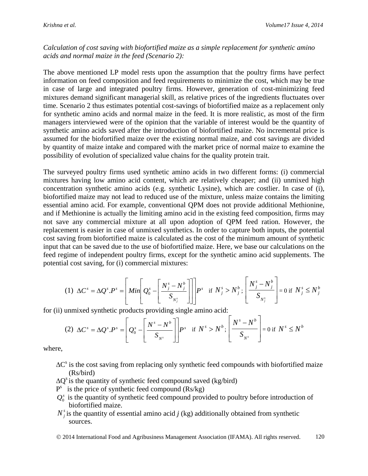*Calculation of cost saving with biofortified maize as a simple replacement for synthetic amino acids and normal maize in the feed (Scenario 2):*

The above mentioned LP model rests upon the assumption that the poultry firms have perfect information on feed composition and feed requirements to minimize the cost, which may be true in case of large and integrated poultry firms. However, generation of cost-minimizing feed mixtures demand significant managerial skill, as relative prices of the ingredients fluctuates over time. Scenario 2 thus estimates potential cost-savings of biofortified maize as a replacement only for synthetic amino acids and normal maize in the feed. It is more realistic, as most of the firm managers interviewed were of the opinion that the variable of interest would be the quantity of synthetic amino acids saved after the introduction of biofortified maize. No incremental price is assumed for the biofortified maize over the existing normal maize, and cost savings are divided by quantity of maize intake and compared with the market price of normal maize to examine the possibility of evolution of specialized value chains for the quality protein trait.

The surveyed poultry firms used synthetic amino acids in two different forms: (i) commercial mixtures having low amino acid content, which are relatively cheaper; and (ii) unmixed high concentration synthetic amino acids (e.g. synthetic Lysine), which are costlier. In case of (i), biofortified maize may not lead to reduced use of the mixture, unless maize contains the limiting essential amino acid. For example, conventional QPM does not provide additional Methionine, and if Methionine is actually the limiting amino acid in the existing feed composition, firms may not save any commercial mixture at all upon adoption of QPM feed ration. However, the replacement is easier in case of unmixed synthetics. In order to capture both inputs, the potential cost saving from biofortified maize is calculated as the cost of the minimum amount of synthetic input that can be saved due to the use of biofortified maize. Here, we base our calculations on the feed regime of independent poultry firms, except for the synthetic amino acid supplements. The potential cost saving, for (i) commercial mixtures:

$$
(1) \ \Delta C^s = \Delta Q^s.P^s = \left[Min \left[Q_0^s - \left[\frac{N_j^s - N_j^b}{S_{N_j^s}}\right]\right]\right] P^s \text{ if } N_j^s > N_j^b; \left[\frac{N_j^s - N_j^b}{S_{N_j^s}}\right] = 0 \text{ if } N_j^s \le N_j^b
$$

for (ii) unmixed synthetic products providing single amino acid:

$$
(2) \ \Delta C^s = \Delta Q^s.P^s = \left[Q_0^s - \left[\frac{N^s - N^b}{S_{N^s}}\right]\right]P^s \quad \text{if} \ N^s > N^b; \left[\frac{N^s - N^b}{S_{N^s}}\right] = 0 \text{ if } N^s \le N^b
$$

where,

- $\Delta C^s$  is the cost saving from replacing only synthetic feed compounds with biofortified maize (Rs/bird)
- $\Delta O^s$  is the quantity of synthetic feed compound saved (kg/bird)
- $P<sup>s</sup>$  is the price of synthetic feed compound (Rs/kg)
- $Q_0^s$  is the quantity of synthetic feed compound provided to poultry before introduction of biofortified maize.
- $N_i^s$  is the quantity of essential amino acid *j* (kg) additionally obtained from synthetic sources.

© 2014 International Food and Agribusiness Management Association (IFAMA). All rights reserved. 120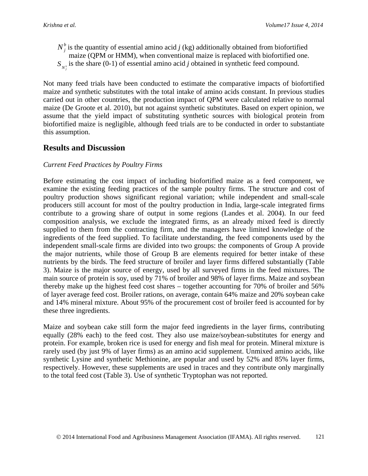$N_j^b$  is the quantity of essential amino acid *j* (kg) additionally obtained from biofortified maize (QPM or HMM), when conventional maize is replaced with biofortified one.  $S_{N_j^s}$  is the share (0-1) of essential amino acid *j* obtained in synthetic feed compound.

Not many feed trials have been conducted to estimate the comparative impacts of biofortified maize and synthetic substitutes with the total intake of amino acids constant. In previous studies carried out in other countries, the production impact of QPM were calculated relative to normal maize (De Groote et al. 2010), but not against synthetic substitutes. Based on expert opinion, we assume that the yield impact of substituting synthetic sources with biological protein from biofortified maize is negligible, although feed trials are to be conducted in order to substantiate this assumption.

## **Results and Discussion**

### *Current Feed Practices by Poultry Firms*

Before estimating the cost impact of including biofortified maize as a feed component, we examine the existing feeding practices of the sample poultry firms. The structure and cost of poultry production shows significant regional variation; while independent and small-scale producers still account for most of the poultry production in India, large-scale integrated firms contribute to a growing share of output in some regions (Landes et al. 2004). In our feed composition analysis, we exclude the integrated firms, as an already mixed feed is directly supplied to them from the contracting firm, and the managers have limited knowledge of the ingredients of the feed supplied. To facilitate understanding, the feed components used by the independent small-scale firms are divided into two groups: the components of Group A provide the major nutrients, while those of Group B are elements required for better intake of these nutrients by the birds. The feed structure of broiler and layer firms differed substantially (Table 3). Maize is the major source of energy, used by all surveyed firms in the feed mixtures. The main source of protein is soy, used by 71% of broiler and 98% of layer firms. Maize and soybean thereby make up the highest feed cost shares – together accounting for 70% of broiler and 56% of layer average feed cost. Broiler rations, on average, contain 64% maize and 20% soybean cake and 14% mineral mixture. About 95% of the procurement cost of broiler feed is accounted for by these three ingredients.

Maize and soybean cake still form the major feed ingredients in the layer firms, contributing equally (28% each) to the feed cost. They also use maize/soybean-substitutes for energy and protein. For example, broken rice is used for energy and fish meal for protein. Mineral mixture is rarely used (by just 9% of layer firms) as an amino acid supplement. Unmixed amino acids, like synthetic Lysine and synthetic Methionine, are popular and used by 52% and 85% layer firms, respectively. However, these supplements are used in traces and they contribute only marginally to the total feed cost (Table 3). Use of synthetic Tryptophan was not reported.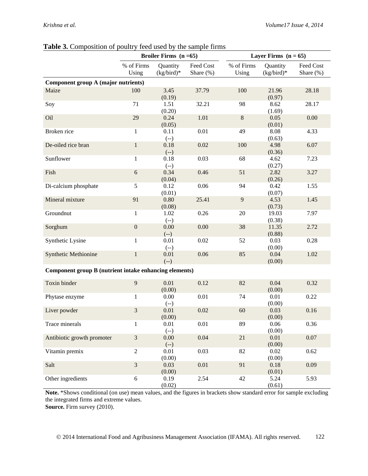|                                                        |                     | Broiler Firms $(n=65)$   |                           |                     | Layer Firms $(n = 65)$   |                        |
|--------------------------------------------------------|---------------------|--------------------------|---------------------------|---------------------|--------------------------|------------------------|
|                                                        | % of Firms<br>Using | Quantity<br>$(kg/bird)*$ | Feed Cost<br>Share $(\%)$ | % of Firms<br>Using | Quantity<br>$(kg/bird)*$ | Feed Cost<br>Share (%) |
| Component group A (major nutrients)                    |                     |                          |                           |                     |                          |                        |
| Maize                                                  | 100                 | 3.45<br>(0.19)           | 37.79                     | 100                 | 21.96<br>(0.97)          | 28.18                  |
| Soy                                                    | 71                  | 1.51<br>(0.20)           | 32.21                     | 98                  | 8.62<br>(1.69)           | 28.17                  |
| Oil                                                    | 29                  | 0.24<br>(0.05)           | 1.01                      | $\,8\,$             | 0.05<br>(0.01)           | 0.00                   |
| Broken rice                                            | $\mathbf{1}$        | 0.11<br>$(-)$            | 0.01                      | 49                  | 8.08<br>(0.63)           | 4.33                   |
| De-oiled rice bran                                     | $\mathbf{1}$        | 0.18<br>$(-)$            | 0.02                      | 100                 | 4.98<br>(0.36)           | 6.07                   |
| Sunflower                                              | $\mathbf{1}$        | 0.18<br>$(-)$            | 0.03                      | 68                  | 4.62<br>(0.27)           | 7.23                   |
| Fish                                                   | $\sqrt{6}$          | 0.34<br>(0.04)           | 0.46                      | 51                  | 2.82<br>(0.26)           | 3.27                   |
| Di-calcium phosphate                                   | 5                   | 0.12<br>(0.01)           | 0.06                      | 94                  | 0.42<br>(0.07)           | 1.55                   |
| Mineral mixture                                        | 91                  | 0.80<br>(0.08)           | 25.41                     | 9                   | 4.53<br>(0.73)           | 1.45                   |
| Groundnut                                              | $\mathbf{1}$        | 1.02<br>$(-)$            | 0.26                      | 20                  | 19.03<br>(0.38)          | 7.97                   |
| Sorghum                                                | $\boldsymbol{0}$    | 0.00<br>$(-)$            | 0.00                      | 38                  | 11.35<br>(0.88)          | 2.72                   |
| Synthetic Lysine                                       | $\mathbf{1}$        | 0.01<br>$(-)$            | 0.02                      | 52                  | 0.03<br>(0.00)           | 0.28                   |
| <b>Synthetic Methionine</b>                            | $\mathbf 1$         | 0.01<br>$(-)$            | 0.06                      | 85                  | 0.04<br>(0.00)           | 1.02                   |
| Component group B (nutrient intake enhancing elements) |                     |                          |                           |                     |                          |                        |
| Toxin binder                                           | 9                   | 0.01<br>(0.00)           | 0.12                      | 82                  | 0.04<br>(0.00)           | 0.32                   |
| Phytase enzyme                                         | 1                   | 0.00                     | 0.01                      | 74                  | 0.01<br>(0.00)           | 0.22                   |
| Liver powder                                           | 3                   | $(-)$<br>0.01<br>(0.00)  | 0.02                      | 60                  | 0.03<br>(0.00)           | 0.16                   |
| Trace minerals                                         | $\mathbf{1}$        | 0.01<br>$(-)$            | $0.01\,$                  | 89                  | 0.06<br>(0.00)           | 0.36                   |
| Antibiotic growth promoter                             | 3                   | 0.00<br>$(-)$            | 0.04                      | $21\,$              | 0.01<br>(0.00)           | 0.07                   |
| Vitamin premix                                         | $\sqrt{2}$          | 0.01<br>(0.00)           | 0.03                      | 82                  | 0.02<br>(0.00)           | 0.62                   |
| Salt                                                   | $\mathfrak{Z}$      | 0.03<br>(0.00)           | 0.01                      | 91                  | 0.18<br>(0.01)           | 0.09                   |
| Other ingredients                                      | $\sqrt{6}$          | 0.19<br>(0.02)           | 2.54                      | 42                  | 5.24<br>(0.61)           | 5.93                   |

#### **Table 3.** Composition of poultry feed used by the sample firms

**Note.** \*Shows conditional (on use) mean values, and the figures in brackets show standard error for sample excluding the integrated firms and extreme values.

**Source.** Firm survey (2010).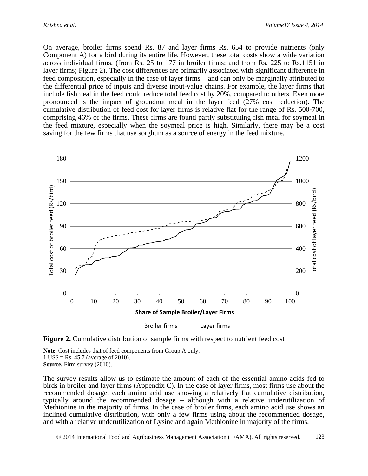On average, broiler firms spend Rs. 87 and layer firms Rs. 654 to provide nutrients (only Component A) for a bird during its entire life. However, these total costs show a wide variation across individual firms, (from Rs. 25 to 177 in broiler firms; and from Rs. 225 to Rs.1151 in layer firms; Figure 2). The cost differences are primarily associated with significant difference in feed composition, especially in the case of layer firms – and can only be marginally attributed to the differential price of inputs and diverse input-value chains. For example, the layer firms that include fishmeal in the feed could reduce total feed cost by 20%, compared to others. Even more pronounced is the impact of groundnut meal in the layer feed (27% cost reduction). The cumulative distribution of feed cost for layer firms is relative flat for the range of Rs. 500-700, comprising 46% of the firms. These firms are found partly substituting fish meal for soymeal in the feed mixture, especially when the soymeal price is high. Similarly, there may be a cost saving for the few firms that use sorghum as a source of energy in the feed mixture.



**Figure 2.** Cumulative distribution of sample firms with respect to nutrient feed cost

**Note.** Cost includes that of feed components from Group A only. 1 US\$ = Rs. 45.7 (average of 2010). **Source.** Firm survey (2010).

The survey results allow us to estimate the amount of each of the essential amino acids fed to birds in broiler and layer firms (Appendix C). In the case of layer firms, most firms use about the recommended dosage, each amino acid use showing a relatively flat cumulative distribution, typically around the recommended dosage – although with a relative underutilization of Methionine in the majority of firms. In the case of broiler firms, each amino acid use shows an inclined cumulative distribution, with only a few firms using about the recommended dosage, and with a relative underutilization of Lysine and again Methionine in majority of the firms.

2014 International Food and Agribusiness Management Association (IFAMA). All rights reserved. 123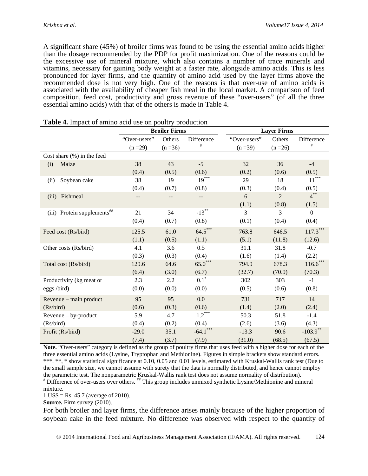A significant share (45%) of broiler firms was found to be using the essential amino acids higher than the dosage recommended by the PDP for profit maximization. One of the reasons could be the excessive use of mineral mixture, which also contains a number of trace minerals and vitamins, necessary for gaining body weight at a faster rate, alongside amino acids. This is less pronounced for layer firms, and the quantity of amino acid used by the layer firms above the recommended dose is not very high. One of the reasons is that over-use of amino acids is associated with the availability of cheaper fish meal in the local market. A comparison of feed composition, feed cost, productivity and gross revenue of these "over-users" (of all the three essential amino acids) with that of the others is made in Table 4.

|                                  |                                  | <b>Broiler Firms</b>    |                                                                 |                                                         | <b>Layer Firms</b> |                                              |
|----------------------------------|----------------------------------|-------------------------|-----------------------------------------------------------------|---------------------------------------------------------|--------------------|----------------------------------------------|
|                                  | "Over-users"                     | Others                  | Difference                                                      | "Over-users"                                            | Others             | Difference                                   |
|                                  | $(n = 29)$                       | $(n=36)$                | $\#$                                                            | $(n=39)$                                                | $(n = 26)$         | $\#$                                         |
| Cost share $(\%)$ in the feed    |                                  |                         |                                                                 |                                                         |                    |                                              |
| Maize<br>(i)                     | 38                               | 43                      | $-5$                                                            | 32                                                      | 36                 | $-4$                                         |
|                                  | (0.4)                            | (0.5)                   | (0.6)                                                           | (0.2)                                                   | (0.6)              | (0.5)                                        |
| Soybean cake<br>(ii)             | 38                               | 19                      | $19***$                                                         | 29                                                      | 18                 | $11***$                                      |
|                                  | (0.4)                            | (0.7)                   | (0.8)                                                           | (0.3)                                                   | (0.4)              | (0.5)                                        |
| Fishmeal<br>(iii)                |                                  |                         |                                                                 | 6                                                       | $\overline{2}$     | $\boldsymbol{4}^{**}$                        |
|                                  |                                  |                         |                                                                 | (1.1)                                                   | (0.8)              | (1.5)                                        |
| (iii) Protein supplements##      | 21                               | 34                      | $-13**$                                                         | 3                                                       | 3                  | $\boldsymbol{0}$                             |
|                                  | (0.4)                            | (0.7)                   | (0.8)                                                           | (0.1)                                                   | (0.4)              | (0.4)                                        |
| Feed cost (Rs/bird)              | 125.5                            | 61.0                    | $64.5***$                                                       | 763.8                                                   | 646.5              | $117.3***$                                   |
|                                  | (1.1)                            | (0.5)                   | (1.1)                                                           | (5.1)                                                   | (11.8)             | (12.6)                                       |
| Other costs (Rs/bird)            | 4.1                              | 3.6                     | 0.5                                                             | 31.1                                                    | 31.8               | $-0.7$                                       |
|                                  | (0.3)                            | (0.3)                   | (0.4)                                                           | (1.6)                                                   | (1.4)              | (2.2)                                        |
| Total cost (Rs/bird)             | 129.6                            | 64.6                    | $65.0***$                                                       | 794.9                                                   | 678.3              | $116.6***$                                   |
|                                  | (6.4)                            | (3.0)                   | (6.7)                                                           | (32.7)                                                  | (70.9)             | (70.3)                                       |
| Productivity (kg meat or         | 2.3                              | 2.2                     | $0.1^*$                                                         | 302                                                     | 303                | $-1$                                         |
| eggs /bird)                      | (0.0)                            | (0.0)                   | (0.0)                                                           | (0.5)                                                   | (0.6)              | (0.8)                                        |
| Revenue – main product           | 95                               | 95                      | 0.0                                                             | 731                                                     | 717                | 14                                           |
| (Rs/bird)                        | (0.6)                            | (0.3)                   | (0.6)                                                           | (1.4)                                                   | (2.0)              | (2.4)                                        |
| Revenue – by-product             | 5.9                              | 4.7                     | $1.2***$                                                        | 50.3                                                    | 51.8               | $-1.4$                                       |
| (Rs/bird)                        | (0.4)                            | (0.2)                   | (0.4)                                                           | (2.6)                                                   | (3.6)              | (4.3)                                        |
| Profit (Rs/bird)                 | $-29.0$                          | 35.1                    | $-64.1***$                                                      | $-13.3$                                                 | 90.6               | $-103.9$ **                                  |
| $N_{\text{max}}$ $\omega$<br>.,, | (7.4)<br>the distance discussion | (3.7)<br>$\overline{C}$ | (7.9)<br>$\mathbf{r}$<br>ويستعلمون<br>المتمادين للمتمالك المتمد | (31.0)<br>Para di contato nella tradizione di anno Para | (68.5)             | (67.5)<br>$\sim$ $\sim$ 1. $\sim$ $\sim$ 41. |

| Table 4. Impact of amino acid use on poultry production |  |  |  |  |  |  |
|---------------------------------------------------------|--|--|--|--|--|--|
|---------------------------------------------------------|--|--|--|--|--|--|

**Note.** "Over-users" category is defined as the group of poultry firms that uses feed with a higher dose for each of the three essential amino acids (Lysine, Tryptophan and Methionine). Figures in simple brackets show standard errors. \*\*\*, \*\*, \* show statistical significance at 0.10, 0.05 and 0.01 levels, estimated with Kruskal-Wallis rank test (Due to the small sample size, we cannot assume with surety that the data is normally distributed, and hence cannot employ the parametric test. The nonparametric Kruskal-Wallis rank test does not assume normality of distribution).<br># Difference of over-users over others. ## This group includes unmixed synthetic Lysine/Methionine and mineral mixture.

1 US\$ = Rs. 45.7 (average of 2010).

**Source.** Firm survey (2010).

For both broiler and layer firms, the difference arises mainly because of the higher proportion of soybean cake in the feed mixture. No difference was observed with respect to the quantity of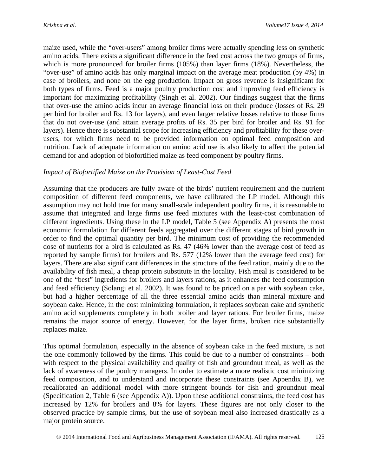maize used, while the "over-users" among broiler firms were actually spending less on synthetic amino acids. There exists a significant difference in the feed cost across the two groups of firms, which is more pronounced for broiler firms (105%) than layer firms (18%). Nevertheless, the "over-use" of amino acids has only marginal impact on the average meat production (by 4%) in case of broilers, and none on the egg production. Impact on gross revenue is insignificant for both types of firms. Feed is a major poultry production cost and improving feed efficiency is important for maximizing profitability (Singh et al. 2002). Our findings suggest that the firms that over-use the amino acids incur an average financial loss on their produce (losses of Rs. 29 per bird for broiler and Rs. 13 for layers), and even larger relative losses relative to those firms that do not over-use (and attain average profits of Rs. 35 per bird for broiler and Rs. 91 for layers). Hence there is substantial scope for increasing efficiency and profitability for these overusers, for which firms need to be provided information on optimal feed composition and nutrition. Lack of adequate information on amino acid use is also likely to affect the potential demand for and adoption of biofortified maize as feed component by poultry firms.

### *Impact of Biofortified Maize on the Provision of Least-Cost Feed*

Assuming that the producers are fully aware of the birds' nutrient requirement and the nutrient composition of different feed components, we have calibrated the LP model. Although this assumption may not hold true for many small-scale independent poultry firms, it is reasonable to assume that integrated and large firms use feed mixtures with the least-cost combination of different ingredients. Using these in the LP model, Table 5 (see Appendix A) presents the most economic formulation for different feeds aggregated over the different stages of bird growth in order to find the optimal quantity per bird. The minimum cost of providing the recommended dose of nutrients for a bird is calculated as Rs. 47 (46% lower than the average cost of feed as reported by sample firms) for broilers and Rs. 577 (12% lower than the average feed cost) for layers. There are also significant differences in the structure of the feed ration, mainly due to the availability of fish meal, a cheap protein substitute in the locality. Fish meal is considered to be one of the "best" ingredients for broilers and layers rations, as it enhances the feed consumption and feed efficiency (Solangi et al. 2002). It was found to be priced on a par with soybean cake, but had a higher percentage of all the three essential amino acids than mineral mixture and soybean cake. Hence, in the cost minimizing formulation, it replaces soybean cake and synthetic amino acid supplements completely in both broiler and layer rations. For broiler firms, maize remains the major source of energy. However, for the layer firms, broken rice substantially replaces maize.

This optimal formulation, especially in the absence of soybean cake in the feed mixture, is not the one commonly followed by the firms. This could be due to a number of constraints – both with respect to the physical availability and quality of fish and groundnut meal, as well as the lack of awareness of the poultry managers. In order to estimate a more realistic cost minimizing feed composition, and to understand and incorporate these constraints (see Appendix B), we recalibrated an additional model with more stringent bounds for fish and groundnut meal (Specification 2, Table 6 (see Appendix A)). Upon these additional constraints, the feed cost has increased by 12% for broilers and 8% for layers. These figures are not only closer to the observed practice by sample firms, but the use of soybean meal also increased drastically as a major protein source.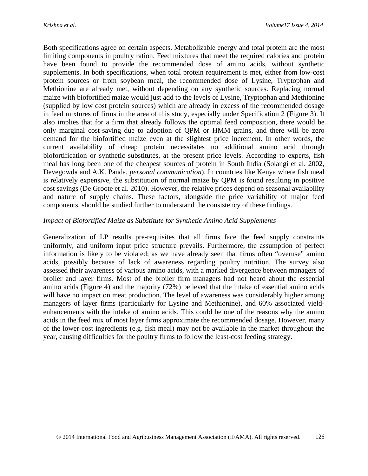Both specifications agree on certain aspects. Metabolizable energy and total protein are the most limiting components in poultry ration. Feed mixtures that meet the required calories and protein have been found to provide the recommended dose of amino acids, without synthetic supplements. In both specifications, when total protein requirement is met, either from low-cost protein sources or from soybean meal, the recommended dose of Lysine, Tryptophan and Methionine are already met, without depending on any synthetic sources. Replacing normal maize with biofortified maize would just add to the levels of Lysine, Tryptophan and Methionine (supplied by low cost protein sources) which are already in excess of the recommended dosage in feed mixtures of firms in the area of this study, especially under Specification 2 (Figure 3). It also implies that for a firm that already follows the optimal feed composition, there would be only marginal cost-saving due to adoption of QPM or HMM grains, and there will be zero demand for the biofortified maize even at the slightest price increment. In other words, the current availability of cheap protein necessitates no additional amino acid through biofortification or synthetic substitutes, at the present price levels. According to experts, fish meal has long been one of the cheapest sources of protein in South India (Solangi et al. 2002, Devegowda and A.K. Panda, *personal communication*). In countries like Kenya where fish meal is relatively expensive, the substitution of normal maize by QPM is found resulting in positive cost savings (De Groote et al. 2010). However, the relative prices depend on seasonal availability and nature of supply chains. These factors, alongside the price variability of major feed components, should be studied further to understand the consistency of these findings.

### *Impact of Biofortified Maize as Substitute for Synthetic Amino Acid Supplements*

Generalization of LP results pre-requisites that all firms face the feed supply constraints uniformly, and uniform input price structure prevails. Furthermore, the assumption of perfect information is likely to be violated; as we have already seen that firms often "overuse" amino acids, possibly because of lack of awareness regarding poultry nutrition. The survey also assessed their awareness of various amino acids, with a marked divergence between managers of broiler and layer firms. Most of the broiler firm managers had not heard about the essential amino acids (Figure 4) and the majority (72%) believed that the intake of essential amino acids will have no impact on meat production. The level of awareness was considerably higher among managers of layer firms (particularly for Lysine and Methionine), and 60% associated yieldenhancements with the intake of amino acids. This could be one of the reasons why the amino acids in the feed mix of most layer firms approximate the recommended dosage. However, many of the lower-cost ingredients (e.g. fish meal) may not be available in the market throughout the year, causing difficulties for the poultry firms to follow the least-cost feeding strategy.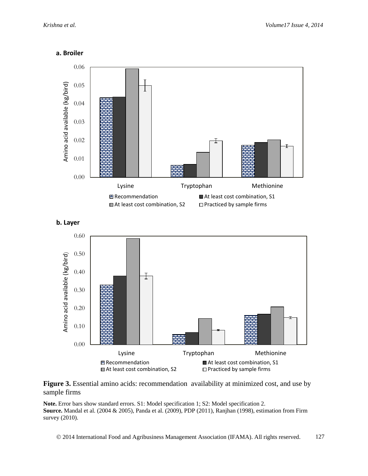









**Note.** Error bars show standard errors. S1: Model specification 1; S2: Model specification 2. **Source.** Mandal et al. (2004 & 2005), Panda et al. (2009), PDP (2011), Ranjhan (1998), estimation from Firm survey (2010).

© 2014 International Food and Agribusiness Management Association (IFAMA). All rights reserved. 127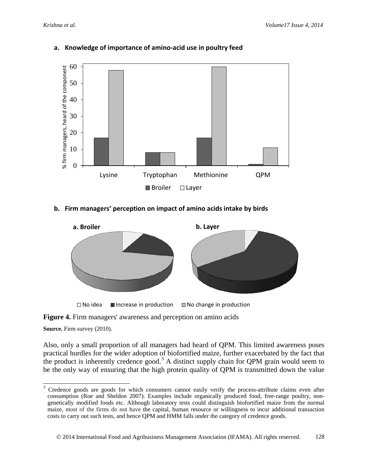

### **a. Knowledge of importance of amino-acid use in poultry feed**

### **b. Firm managers' perception on impact of amino acids intake by birds**



**Figure 4.** Firm managers' awareness and perception on amino acids

**Source.** Firm survey (2010).

Also, only a small proportion of all managers had heard of QPM. This limited awareness poses practical hurdles for the wider adoption of biofortified maize, further exacerbated by the fact that the product is inherently credence good.<sup>[3](#page-17-0)</sup> A distinct supply chain for QPM grain would seem to be the only way of ensuring that the high protein quality of QPM is transmitted down the value

<span id="page-17-0"></span><sup>3</sup> Credence goods are goods for which consumers cannot easily verify the process-attribute claims even after consumption (Roe and Sheldon 2007). Examples include organically produced food, free-range poultry, nongenetically modified foods etc. Although laboratory tests could distinguish biofortified maize from the normal maize, most of the firms do not have the capital, human resource or willingness to incur additional transaction costs to carry out such tests, and hence QPM and HMM falls under the category of credence goods.  $\sqrt{3}$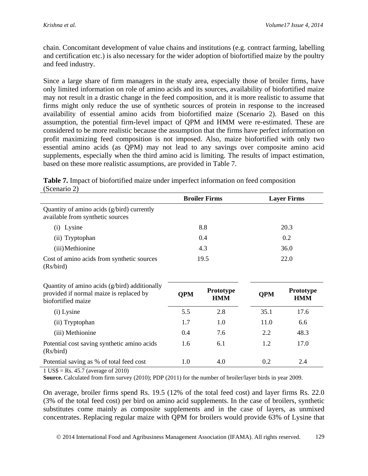chain. Concomitant development of value chains and institutions (e.g. contract farming, labelling and certification etc.) is also necessary for the wider adoption of biofortified maize by the poultry and feed industry.

Since a large share of firm managers in the study area, especially those of broiler firms, have only limited information on role of amino acids and its sources, availability of biofortified maize may not result in a drastic change in the feed composition, and it is more realistic to assume that firms might only reduce the use of synthetic sources of protein in response to the increased availability of essential amino acids from biofortified maize (Scenario 2). Based on this assumption, the potential firm-level impact of QPM and HMM were re-estimated. These are considered to be more realistic because the assumption that the firms have perfect information on profit maximizing feed composition is not imposed. Also, maize biofortified with only two essential amino acids (as QPM) may not lead to any savings over composite amino acid supplements, especially when the third amino acid is limiting. The results of impact estimation, based on these more realistic assumptions, are provided in Table 7.

| <b>Table 7.</b> Impact of biofortified maize under imperfect information on feed composition |  |
|----------------------------------------------------------------------------------------------|--|
| (Scenario 2)                                                                                 |  |

|                                                                                                                |            | <b>Broiler Firms</b>    |            | <b>Layer Firms</b>             |
|----------------------------------------------------------------------------------------------------------------|------------|-------------------------|------------|--------------------------------|
| Quantity of amino acids (g/bird) currently<br>available from synthetic sources                                 |            |                         |            |                                |
| Lysine<br>(i)                                                                                                  |            | 8.8                     |            | 20.3                           |
| (ii) Tryptophan                                                                                                |            | 0.4                     |            | 0.2                            |
| (iii) Methionine                                                                                               |            | 4.3                     |            | 36.0                           |
| Cost of amino acids from synthetic sources<br>(Rs/bird)                                                        |            | 19.5                    |            | 22.0                           |
| Quantity of amino acids (g/bird) additionally<br>provided if normal maize is replaced by<br>biofortified maize | <b>OPM</b> | Prototype<br><b>HMM</b> | <b>QPM</b> | <b>Prototype</b><br><b>HMM</b> |
| (i) Lysine                                                                                                     | 5.5        | 2.8                     | 35.1       | 17.6                           |
| (ii) Tryptophan                                                                                                | 1.7        | 1.0                     | 11.0       | 6.6                            |
| (iii) Methionine                                                                                               | 0.4        | 7.6                     | 2.2        | 48.3                           |
| Potential cost saving synthetic amino acids<br>(Rs/bird)                                                       | 1.6        | 6.1                     | 1.2        | 17.0                           |
| Potential saving as % of total feed cost                                                                       | 1.0        | 4.0                     | 0.2        | 2.4                            |

1 US\$ = Rs. 45.7 (average of 2010)

**Source.** Calculated from firm survey (2010); PDP (2011) for the number of broiler/layer birds in year 2009.

On average, broiler firms spend Rs. 19.5 (12% of the total feed cost) and layer firms Rs. 22.0 (3% of the total feed cost) per bird on amino acid supplements. In the case of broilers, synthetic substitutes come mainly as composite supplements and in the case of layers, as unmixed concentrates. Replacing regular maize with QPM for broilers would provide 63% of Lysine that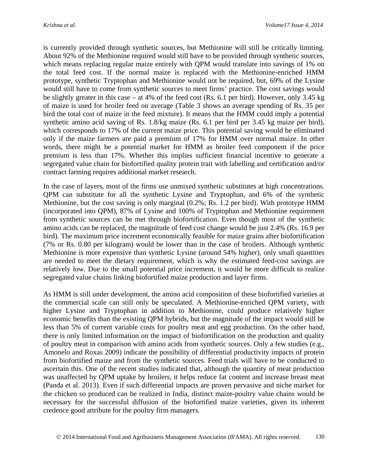is currently provided through synthetic sources, but Methionine will still be critically limiting. About 92% of the Methionine required would still have to be provided through synthetic sources, which means replacing regular maize entirely with QPM would translate into savings of 1% on the total feed cost. If the normal maize is replaced with the Methionine-enriched HMM prototype, synthetic Tryptophan and Methionine would not be required, but, 69% of the Lysine would still have to come from synthetic sources to meet firms' practice. The cost savings would be slightly greater in this case – at 4% of the feed cost (Rs. 6.1 per bird). However, only 3.45 kg of maize is used for broiler feed on average (Table 3 shows an average spending of Rs. 35 per bird the total cost of maize in the feed mixture). It means that the HMM could imply a potential synthetic amino acid saving of Rs. 1.8/kg maize (Rs. 6.1 per bird per 3.45 kg maize per bird), which corresponds to 17% of the current maize price. This potential saving would be eliminated only if the maize farmers are paid a premium of 17% for HMM over normal maize. In other words, there might be a potential market for HMM as broiler feed component if the price premium is less than 17%. Whether this implies sufficient financial incentive to generate a segregated value chain for biofortified quality protein trait with labelling and certification and/or contract farming requires additional market research.

In the case of layers, most of the firms use unmixed synthetic substitutes at high concentrations. QPM can substitute for all the synthetic Lysine and Tryptophan, and 6% of the synthetic Methionine, but the cost saving is only marginal (0.2%; Rs. 1.2 per bird). With prototype HMM (incorporated into QPM), 87% of Lysine and 100% of Tryptophan and Methionine requirement from synthetic sources can be met through biofortification. Even though most of the synthetic amino acids can be replaced, the magnitude of feed cost change would be just 2.4% (Rs. 16.9 per bird). The maximum price increment economically feasible for maize grains after biofortification (7% or Rs. 0.80 per kilogram) would be lower than in the case of broilers. Although synthetic Methionine is more expensive than synthetic Lysine (around 54% higher), only small quantities are needed to meet the dietary requirement, which is why the estimated feed-cost savings are relatively low. Due to the small potential price increment, it would be more difficult to realize segregated value chains linking biofortified maize production and layer firms.

As HMM is still under development, the amino acid composition of these biofortified varieties at the commercial scale can still only be speculated. A Methionine-enriched QPM variety, with higher Lysine and Tryptophan in addition to Methionine, could produce relatively higher economic benefits than the existing QPM hybrids, but the magnitude of the impact would still be less than 5% of current variable costs for poultry meat and egg production. On the other hand, there is only limited information on the impact of biofortification on the production and quality of poultry meat in comparison with amino acids from synthetic sources. Only a few studies (e.g., Amonelo and Roxas 2009) indicate the possibility of differential productivity impacts of protein from biofortified maize and from the synthetic sources. Feed trials will have to be conducted to ascertain this. One of the recent studies indicated that, although the quantity of meat production was unaffected by QPM uptake by broilers, it helps reduce fat content and increase breast meat (Panda et al. 2013). Even if such differential impacts are proven pervasive and niche market for the chicken so produced can be realized in India, distinct maize-poultry value chains would be necessary for the successful diffusion of the biofortified maize varieties, given its inherent credence good attribute for the poultry firm managers.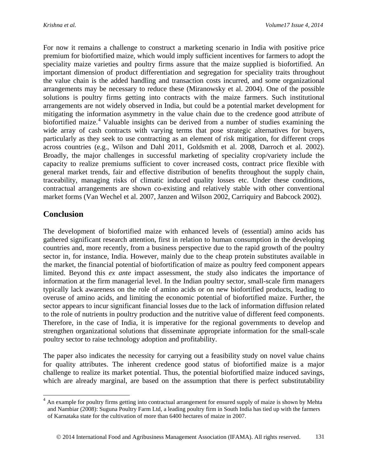For now it remains a challenge to construct a marketing scenario in India with positive price premium for biofortified maize, which would imply sufficient incentives for farmers to adopt the speciality maize varieties and poultry firms assure that the maize supplied is biofortified. An important dimension of product differentiation and segregation for speciality traits throughout the value chain is the added handling and transaction costs incurred, and some organizational arrangements may be necessary to reduce these (Miranowsky et al. 2004). One of the possible solutions is poultry firms getting into contracts with the maize farmers. Such institutional arrangements are not widely observed in India, but could be a potential market development for mitigating the information asymmetry in the value chain due to the credence good attribute of biofortified maize.<sup>[4](#page-20-0)</sup> Valuable insights can be derived from a number of studies examining the wide array of cash contracts with varying terms that pose strategic alternatives for buyers, particularly as they seek to use contracting as an element of risk mitigation, for different crops across countries (e.g., Wilson and Dahl 2011, Goldsmith et al. 2008, Darroch et al. 2002). Broadly, the major challenges in successful marketing of speciality crop/variety include the capacity to realize premiums sufficient to cover increased costs, contract price flexible with general market trends, fair and effective distribution of benefits throughout the supply chain, traceability, managing risks of climatic induced quality losses etc. Under these conditions, contractual arrangements are shown co-existing and relatively stable with other conventional market forms (Van Wechel et al. 2007, Janzen and Wilson 2002, Carriquiry and Babcock 2002).

## **Conclusion**

 $\overline{a}$ 

The development of biofortified maize with enhanced levels of (essential) amino acids has gathered significant research attention, first in relation to human consumption in the developing countries and, more recently, from a business perspective due to the rapid growth of the poultry sector in, for instance, India. However, mainly due to the cheap protein substitutes available in the market, the financial potential of biofortification of maize as poultry feed component appears limited. Beyond this *ex ante* impact assessment, the study also indicates the importance of information at the firm managerial level. In the Indian poultry sector, small-scale firm managers typically lack awareness on the role of amino acids or on new biofortified products, leading to overuse of amino acids, and limiting the economic potential of biofortified maize. Further, the sector appears to incur significant financial losses due to the lack of information diffusion related to the role of nutrients in poultry production and the nutritive value of different feed components. Therefore, in the case of India, it is imperative for the regional governments to develop and strengthen organizational solutions that disseminate appropriate information for the small-scale poultry sector to raise technology adoption and profitability.

The paper also indicates the necessity for carrying out a feasibility study on novel value chains for quality attributes. The inherent credence good status of biofortified maize is a major challenge to realize its market potential. Thus, the potential biofortified maize induced savings, which are already marginal, are based on the assumption that there is perfect substitutability

<span id="page-20-0"></span> $4\,$  An example for poultry firms getting into contractual arrangement for ensured supply of maize is shown by Mehta and Nambiar (2008): Suguna Poultry Farm Ltd, a leading poultry firm in South India has tied up with the farmers of Karnataka state for the cultivation of more than 6400 hectares of maize in 2007.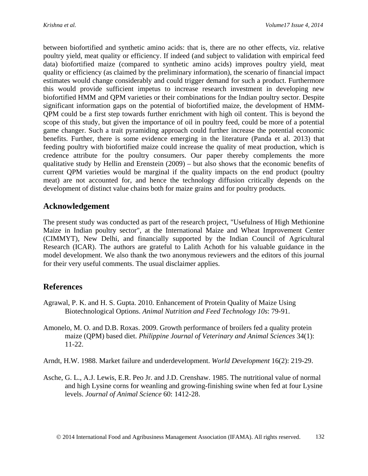between biofortified and synthetic amino acids: that is, there are no other effects, viz. relative poultry yield, meat quality or efficiency. If indeed (and subject to validation with empirical feed data) biofortified maize (compared to synthetic amino acids) improves poultry yield, meat quality or efficiency (as claimed by the preliminary information), the scenario of financial impact estimates would change considerably and could trigger demand for such a product. Furthermore this would provide sufficient impetus to increase research investment in developing new biofortified HMM and QPM varieties or their combinations for the Indian poultry sector. Despite significant information gaps on the potential of biofortified maize, the development of HMM-QPM could be a first step towards further enrichment with high oil content. This is beyond the scope of this study, but given the importance of oil in poultry feed, could be more of a potential game changer. Such a trait pyramiding approach could further increase the potential economic benefits. Further, there is some evidence emerging in the literature (Panda et al. 2013) that feeding poultry with biofortified maize could increase the quality of meat production, which is credence attribute for the poultry consumers. Our paper thereby complements the more qualitative study by Hellin and Erenstein (2009) – but also shows that the economic benefits of current QPM varieties would be marginal if the quality impacts on the end product (poultry meat) are not accounted for, and hence the technology diffusion critically depends on the development of distinct value chains both for maize grains and for poultry products.

## **Acknowledgement**

The present study was conducted as part of the research project, "Usefulness of High Methionine Maize in Indian poultry sector", at the International Maize and Wheat Improvement Center (CIMMYT), New Delhi, and financially supported by the Indian Council of Agricultural Research (ICAR). The authors are grateful to Lalith Achoth for his valuable guidance in the model development. We also thank the two anonymous reviewers and the editors of this journal for their very useful comments. The usual disclaimer applies.

## **References**

- Agrawal, P. K. and H. S. Gupta. 2010. Enhancement of Protein Quality of Maize Using Biotechnological Options. *Animal Nutrition and Feed Technology 10s*: 79-91.
- Amonelo, M. O. and D.B. Roxas. 2009. Growth performance of broilers fed a quality protein maize (QPM) based diet. *Philippine Journal of Veterinary and Animal Sciences* 34(1): 11-22.
- Arndt, H.W. 1988. Market failure and underdevelopment. *World Development* 16(2): 219-29.
- Asche, G. L., A.J. Lewis, E.R. Peo Jr. and J.D. Crenshaw. 1985. The nutritional value of normal and high Lysine corns for weanling and growing-finishing swine when fed at four Lysine levels. *Journal of Animal Science* 60: 1412-28.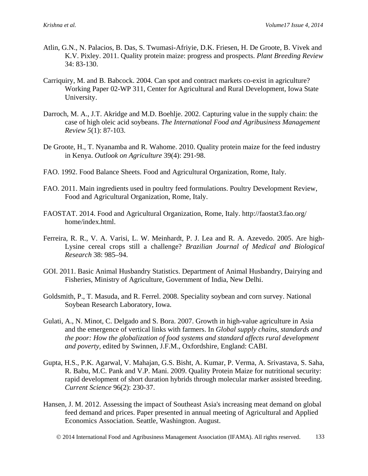- Atlin, G.N., N. Palacios, B. Das, S. Twumasi-Afriyie, D.K. Friesen, H. De Groote, B. Vivek and K.V. Pixley. 2011. Quality protein maize: progress and prospects. *Plant Breeding Review* 34: 83-130.
- Carriquiry, M. and B. Babcock. 2004. Can spot and contract markets co-exist in agriculture? Working Paper 02-WP 311, Center for Agricultural and Rural Development, Iowa State University.
- Darroch, M. A., J.T. Akridge and M.D. Boehlje. 2002. Capturing value in the supply chain: the case of high oleic acid soybeans. *The International Food and Agribusiness Management Review 5*(1): 87-103.
- De Groote, H., T. Nyanamba and R. Wahome. 2010. Quality protein maize for the feed industry in Kenya. *Outlook on Agriculture* 39(4): 291-98.
- FAO. 1992. Food Balance Sheets. Food and Agricultural Organization, Rome, Italy.
- FAO. 2011. Main ingredients used in poultry feed formulations. Poultry Development Review, Food and Agricultural Organization, Rome, Italy.
- FAOSTAT. 2014. Food and Agricultural Organization, Rome, Italy. http://faostat3.fao.org/ home/index.html.
- Ferreira, R. R., V. A. Varisi, L. W. Meinhardt, P. J. Lea and R. A. Azevedo. 2005. Are high-Lysine cereal crops still a challenge? *Brazilian Journal of Medical and Biological Research* 38: 985–94.
- GOI. 2011. Basic Animal Husbandry Statistics. Department of Animal Husbandry, Dairying and Fisheries, Ministry of Agriculture, Government of India, New Delhi.
- Goldsmith, P., T. Masuda, and R. Ferrel. 2008. Speciality soybean and corn survey. National Soybean Research Laboratory, Iowa.
- Gulati, A., N. Minot, C. Delgado and S. Bora. 2007. Growth in high-value agriculture in Asia and the emergence of vertical links with farmers. In *Global supply chains, standards and the poor: How the globalization of food systems and standard affects rural development and poverty,* edited by Swinnen, J.F.M., Oxfordshire, England: CABI.
- Gupta, H.S., P.K. Agarwal, V. Mahajan, G.S. Bisht, A. Kumar, P. Verma, A. Srivastava, S. Saha, R. Babu, M.C. Pank and V.P. Mani. 2009. Quality Protein Maize for nutritional security: rapid development of short duration hybrids through molecular marker assisted breeding. *Current Science* 96(2): 230-37.
- Hansen, J. M. 2012. Assessing the impact of Southeast Asia's increasing meat demand on global feed demand and prices. Paper presented in annual meeting of Agricultural and Applied Economics Association. Seattle, Washington. August.
	- 2014 International Food and Agribusiness Management Association (IFAMA). All rights reserved. 133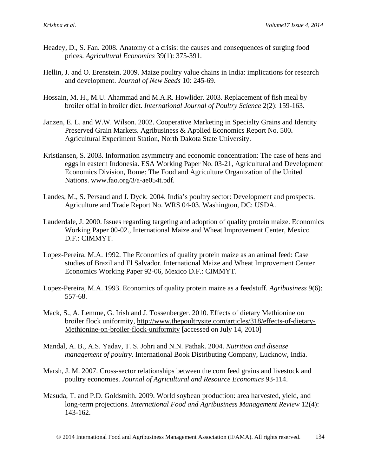- Headey, D., S. Fan. 2008. Anatomy of a crisis: the causes and consequences of surging food prices. *Agricultural Economics* 39(1): 375-391.
- Hellin, J. and O. Erenstein. 2009. Maize poultry value chains in India: implications for research and development. *Journal of New Seeds* 10: 245-69.
- Hossain, M. H., M.U. Ahammad and M.A.R. Howlider. 2003. Replacement of fish meal by broiler offal in broiler diet. *International Journal of Poultry Science* 2(2): 159-163.
- Janzen, E. L. and W.W. Wilson. 2002. Cooperative Marketing in Specialty Grains and Identity Preserved Grain Markets. Agribusiness & Applied Economics Report No. 500**.**  Agricultural Experiment Station, North Dakota State University.
- Kristiansen, S. 2003. Information asymmetry and economic concentration: The case of hens and eggs in eastern Indonesia. ESA Working Paper No. 03-21, Agricultural and Development Economics Division, Rome: The Food and Agriculture Organization of the United Nations. www.fao.org/3/a-ae054t.pdf.
- Landes, M., S. Persaud and J. Dyck. 2004. India's poultry sector: Development and prospects. Agriculture and Trade Report No. WRS 04-03. Washington, DC: USDA.
- Lauderdale, J. 2000. Issues regarding targeting and adoption of quality protein maize. Economics Working Paper 00-02., International Maize and Wheat Improvement Center, Mexico D.F.: CIMMYT.
- Lopez-Pereira, M.A. 1992. The Economics of quality protein maize as an animal feed: Case studies of Brazil and El Salvador. International Maize and Wheat Improvement Center Economics Working Paper 92-06, Mexico D.F.: CIMMYT.
- Lopez-Pereira, M.A. 1993. Economics of quality protein maize as a feedstuff. *Agribusiness* 9(6): 557-68.
- Mack, S., A. Lemme, G. Irish and J. Tossenberger. 2010. Effects of dietary Methionine on broiler flock uniformity, [http://www.thepoultrysite.com/articles/318/effects-of-dietary-](http://www.thepoultrysite.com/articles/318/effects-of-dietary-methionine-on-broiler-flock-uniformity)[Methionine-on-broiler-flock-uniformity](http://www.thepoultrysite.com/articles/318/effects-of-dietary-methionine-on-broiler-flock-uniformity) [accessed on July 14, 2010]
- Mandal, A. B., A.S. Yadav, T. S. Johri and N.N. Pathak. 2004. *Nutrition and disease management of poultry*. International Book Distributing Company, Lucknow, India.
- Marsh, J. M. 2007. Cross-sector relationships between the corn feed grains and livestock and poultry economies. *Journal of Agricultural and Resource Economics* 93-114.
- Masuda, T. and P.D. Goldsmith. 2009. World soybean production: area harvested, yield, and long-term projections. *International Food and Agribusiness Management Review* 12(4): 143-162.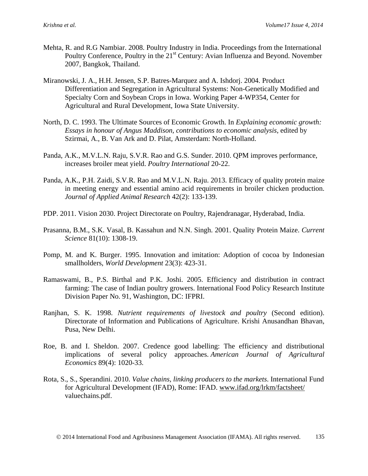- Mehta, R. and R.G Nambiar. 2008. Poultry Industry in India. Proceedings from the International Poultry Conference, Poultry in the 21<sup>st</sup> Century: Avian Influenza and Beyond. November 2007, Bangkok, Thailand.
- Miranowski, J. A., H.H. Jensen, S.P. Batres-Marquez and A. Ishdorj. 2004. Product Differentiation and Segregation in Agricultural Systems: Non-Genetically Modified and Specialty Corn and Soybean Crops in Iowa. Working Paper 4-WP354, Center for Agricultural and Rural Development, Iowa State University.
- North, D. C. 1993. The Ultimate Sources of Economic Growth. In *Explaining economic growth: Essays in honour of Angus Maddison, contributions to economic analysis*, edited by Szirmai, A., B. Van Ark and D. Pilat, Amsterdam: North-Holland.
- Panda, A.K., M.V.L.N. Raju, S.V.R. Rao and G.S. Sunder. 2010. QPM improves performance, increases broiler meat yield. *Poultry International* 20-22.
- Panda, A.K., P.H. Zaidi, S.V.R. Rao and M.V.L.N. Raju. 2013. Efficacy of quality protein maize in meeting energy and essential amino acid requirements in broiler chicken production. *Journal of Applied Animal Research* 42(2): 133-139.
- PDP. 2011. Vision 2030. Project Directorate on Poultry, Rajendranagar, Hyderabad, India.
- Prasanna, B.M., S.K. Vasal, B. Kassahun and N.N. Singh. 2001. Quality Protein Maize. *Current Science* 81(10): 1308-19.
- Pomp, M. and K. Burger. 1995. Innovation and imitation: Adoption of cocoa by Indonesian smallholders, *World Development* 23(3): 423-31.
- Ramaswami, B., P.S. Birthal and P.K. Joshi. 2005. Efficiency and distribution in contract farming: The case of Indian poultry growers. International Food Policy Research Institute Division Paper No. 91, Washington, DC: IFPRI.
- Ranjhan, S. K. 1998. *Nutrient requirements of livestock and poultry* (Second edition). Directorate of Information and Publications of Agriculture. Krishi Anusandhan Bhavan, Pusa, New Delhi.
- Roe, B. and I. Sheldon. 2007. Credence good labelling: The efficiency and distributional implications of several policy approaches. *American Journal of Agricultural Economics* 89(4): 1020-33.
- Rota, S., S., Sperandini. 2010. *Value chains, linking producers to the markets*. International Fund for Agricultural Development (IFAD), Rome: IFAD. [www.ifad.org/lrkm/factsheet/](http://www.ifad.org/lrkm/factsheet/) valuechains.pdf.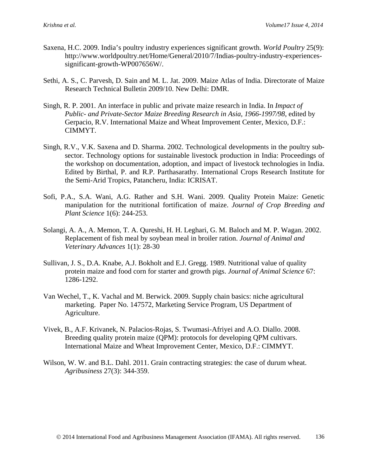- Saxena, H.C. 2009. India's poultry industry experiences significant growth. *World Poultry* 25(9): http://www.worldpoultry.net/Home/General/2010/7/Indias-poultry-industry-experiencessignificant-growth-WP007656W/.
- Sethi, A. S., C. Parvesh, D. Sain and M. L. Jat. 2009. Maize Atlas of India. Directorate of Maize Research Technical Bulletin 2009/10. New Delhi: DMR.
- Singh, R. P. 2001. An interface in public and private maize research in India. In *Impact of Public- and Private-Sector Maize Breeding Research in Asia, 1966-1997/98*, edited by Gerpacio, R.V. International Maize and Wheat Improvement Center, Mexico, D.F.: CIMMYT.
- Singh, R.V., V.K. Saxena and D. Sharma. 2002. Technological developments in the poultry subsector. Technology options for sustainable livestock production in India: Proceedings of the workshop on documentation, adoption, and impact of livestock technologies in India. Edited by Birthal, P. and R.P. Parthasarathy. International Crops Research Institute for the Semi-Arid Tropics, Patancheru, India: ICRISAT.
- Sofi, P.A., S.A. Wani, A.G. Rather and S.H. Wani. 2009. Quality Protein Maize: Genetic manipulation for the nutritional fortification of maize. *Journal of Crop Breeding and Plant Science* 1(6): 244-253.
- Solangi, A. A., A. Memon, T. A. Qureshi, H. H. Leghari, G. M. Baloch and M. P. Wagan. 2002. Replacement of fish meal by soybean meal in broiler ration. *Journal of Animal and Veterinary Advances* 1(1): 28-30
- Sullivan, J. S., D.A. Knabe, A.J. Bokholt and E.J. Gregg. 1989. Nutritional value of quality protein maize and food corn for starter and growth pigs. *Journal of Animal Science* 67: 1286-1292.
- Van Wechel, T., K. Vachal and M. Berwick. 2009. Supply chain basics: niche agricultural marketing. Paper No. 147572, Marketing Service Program, US Department of Agriculture.
- Vivek, B., A.F. Krivanek, N. Palacios-Rojas, S. Twumasi-Afriyei and A.O. Diallo. 2008. Breeding quality protein maize (QPM): protocols for developing QPM cultivars. International Maize and Wheat Improvement Center, Mexico, D.F.: CIMMYT.
- Wilson, W. W. and B.L. Dahl. 2011. Grain contracting strategies: the case of durum wheat. *Agribusiness* 27(3): 344-359.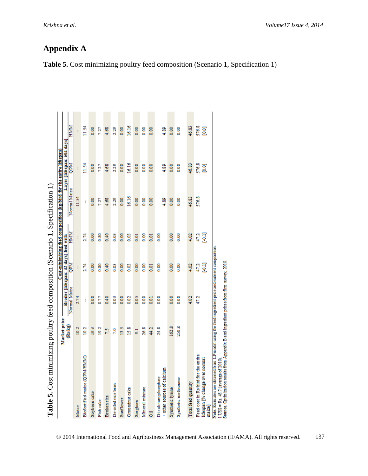| Table 5. Cost minimizing poultry feed composition (Scenario 1, Specification 1)                                                                                                                                                                                   |               |                     |                                       |               |                                                                    |                            |                             |
|-------------------------------------------------------------------------------------------------------------------------------------------------------------------------------------------------------------------------------------------------------------------|---------------|---------------------|---------------------------------------|---------------|--------------------------------------------------------------------|----------------------------|-----------------------------|
|                                                                                                                                                                                                                                                                   | Market price  |                     |                                       |               | Cost-minimizing feed composition (kg/bird for the entire lifespan) |                            |                             |
|                                                                                                                                                                                                                                                                   | (Rs/kg)       |                     | Broiler [lifespan: 42 days] feed with |               | Normal Maize                                                       | Layer [lifespan: 504 days] |                             |
|                                                                                                                                                                                                                                                                   |               | Normal Maize        | MdO                                   | HIMIM         |                                                                    | <b>NdO</b>                 | HMM                         |
| Maize                                                                                                                                                                                                                                                             | 10.2          | 2.74                |                                       | ŧ             | 11.54                                                              |                            |                             |
| Biofortified maize (QPM/HMM)                                                                                                                                                                                                                                      | 10.2          | ŧ                   | 2.74                                  | 2.74          | I                                                                  | 11.54                      | 11.54                       |
| Soybean cake                                                                                                                                                                                                                                                      | $\frac{2}{9}$ | $\frac{8}{2}$       | 8.00                                  | $\frac{8}{2}$ | 8.00                                                               | 0.00                       | 8.00                        |
| Fish cake                                                                                                                                                                                                                                                         | 19.2          | 0.77                | 0.80                                  | 8,08          | 127                                                                | 727                        | 127                         |
| Brokenrice                                                                                                                                                                                                                                                        | 25            | 0.40                | 0.40                                  | 0.40          | 4.68                                                               | 4.68                       | 4.68                        |
| De-oiled rice bran                                                                                                                                                                                                                                                | 2.0           | Soo                 | 8                                     | $\frac{2}{3}$ | 2.29                                                               | 2.29                       | 2.29                        |
| <b>Sunflower</b>                                                                                                                                                                                                                                                  | ă             | 800                 | $\frac{8}{2}$                         | $\frac{8}{6}$ | $\frac{8}{10}$                                                     | 0.00                       | $\frac{8}{10}$              |
| Groundnut cake                                                                                                                                                                                                                                                    | 15.8          | $\frac{0.02}{0.02}$ | $\frac{8}{2}$                         | $\frac{3}{2}$ | 16.16                                                              | 16.16                      | 16.16                       |
| Sorghum                                                                                                                                                                                                                                                           | 5             | $\frac{5}{2}$       | $\frac{8}{5}$                         | $\frac{5}{2}$ | $\frac{8}{5}$                                                      | 0.00                       | $\frac{8}{5}$               |
| Mineral mixture                                                                                                                                                                                                                                                   | 26.8          | $\frac{8}{2}$       | $\frac{8}{5}$                         | $\frac{8}{5}$ | $\frac{8}{5}$                                                      | $\frac{8}{2}$              | $\frac{8}{5}$               |
| ã                                                                                                                                                                                                                                                                 | 44.2          | $\frac{1}{2}$       | $\frac{5}{2}$                         | $\frac{1}{2}$ | $\frac{8}{6}$                                                      | 0.00                       | $\frac{8}{2}$               |
| + other sources of calcium<br>Di calcium phosphate                                                                                                                                                                                                                | 24.8          | $\frac{8}{2}$       | 8<br>S                                | 8g            | 4.89                                                               | 4.89                       | 4.89                        |
| Synthetic lysine                                                                                                                                                                                                                                                  | 162.8         | $\frac{8}{2}$       | $\frac{8}{2}$                         | $\frac{8}{2}$ | 8.00                                                               | 0.00                       | $\frac{8}{5}$               |
| Synthetic methionine                                                                                                                                                                                                                                              | 250.8         | 8g                  | 8                                     | 8             | 8g                                                                 | OOO                        | 8.00                        |
| Total feed quantity                                                                                                                                                                                                                                               |               | 4.02                | 4.02                                  | 4.02          | 46.83                                                              | 46.83                      | 46.83                       |
| Feed cost in Ra/bird for the entire<br>lifespan [% change over norma]<br>maize                                                                                                                                                                                    |               | 47.2                | 目立<br>47.2                            | 47.2<br>目     | 576.8                                                              | 576.8<br><b>D.OT</b>       | 576.8<br>$\overline{[0.0]}$ |
| Note. Estimates are obtained from LPm odel using the feed ingredient price and nutrient composition<br>Source. Optim ization results from Appendix B and ingredient prices from firm survey, 2010<br>$1 \text{ } \text{USS} = \text{Rs. } 45.7$ (average of 2010) |               |                     |                                       |               |                                                                    |                            |                             |

**Table 5.** Cost minimizing poultry feed composition (Scenario 1, Specification 1)

**Table 5.** Cost minimizing poultry feed composition (Scenario 1, Specification 1) ÿ  $\mathbf c$  $\vec{Q}$  $\epsilon$  $\ddot{\phantom{1}}$  $\vec{\mathcal{C}}$  $\mathbf{u}$ Ė

| © 2014 International Food and Agribusiness Management Association (IFAMA). All rights reserved. |  | 137 |
|-------------------------------------------------------------------------------------------------|--|-----|
|                                                                                                 |  |     |

**Appendix A**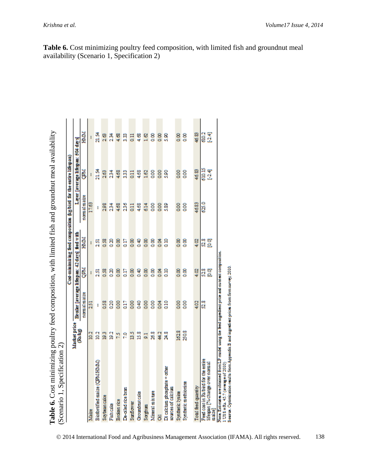|                                                                                                                                                                                                                                              |                              |                                               |                |               | Cost-minimizing feed composition (kg/bird for the entire lifespan) |                                    |                   |
|----------------------------------------------------------------------------------------------------------------------------------------------------------------------------------------------------------------------------------------------|------------------------------|-----------------------------------------------|----------------|---------------|--------------------------------------------------------------------|------------------------------------|-------------------|
|                                                                                                                                                                                                                                              | <b>Market</b> price<br>Ralig | Broiler [average lifespan: 42 days] feed with |                |               |                                                                    | Layer [average lifespan: 504 days] |                   |
|                                                                                                                                                                                                                                              |                              | normal matze                                  | QPM.           | HMAK          | normal maize                                                       | š                                  | HMM               |
| Maine                                                                                                                                                                                                                                        | $\frac{2}{2}$                | 251                                           |                |               | 17.63                                                              |                                    |                   |
| Biofortified maize (QPM/HIMM)                                                                                                                                                                                                                | 2                            |                                               | 251            | 251           |                                                                    | 21.54                              | $\frac{34}{21}$   |
| Soybean cake                                                                                                                                                                                                                                 | 93                           | 058                                           | 0.58           | 0.58          | 298                                                                | 263                                | 26                |
| Fishcake                                                                                                                                                                                                                                     | $\frac{2}{3}$                | $\frac{20}{20}$                               | 8              | Q20           | 234                                                                | 234                                | 234               |
| <b>Broken rice</b>                                                                                                                                                                                                                           | p                            | 8 <sub>0</sub>                                | $\frac{8}{2}$  | 8             | 4.68                                                               | 4.68                               | 468               |
| De-oiled rice bran                                                                                                                                                                                                                           | 20                           | āп                                            | Q.I7           | Œσ            | 236                                                                | 5                                  | 9                 |
| Sunflower                                                                                                                                                                                                                                    | ă                            | 8 <sub>0</sub>                                | 8 <sub>o</sub> | $\frac{8}{9}$ | $\frac{11}{2}$                                                     | $\frac{11}{2}$                     | $\frac{11}{2}$    |
| <b>Groundmut cale</b>                                                                                                                                                                                                                        | 15.8                         | $\frac{6}{3}$                                 | 8.40           | $\frac{8}{9}$ | 468                                                                | 4.68                               | 468               |
| Sorghum                                                                                                                                                                                                                                      | 5                            | 8 <sub>0</sub>                                | $\frac{8}{2}$  | $\frac{8}{9}$ | 614                                                                | 162                                | $\overline{2}$    |
| Mineral mixince                                                                                                                                                                                                                              | 26.8                         | 8 <sub>0</sub>                                | 8              | 8             | 8<br>8                                                             | 8<br>8                             | 8                 |
| 8                                                                                                                                                                                                                                            | $\frac{42}{3}$               | <b>S</b>                                      | 홍<br>이         | 8g            | 8 <sub>0</sub>                                                     | 8 <sub>0</sub>                     | 8<br>a            |
| Di calcium phosphate + other<br>sources of calcium                                                                                                                                                                                           | ая<br>К                      | <b>QTD</b>                                    | ano            | aιο           | 589                                                                | S <sub>3</sub> 0                   | ន្ទ               |
| <b>Synthetic Ivaine</b>                                                                                                                                                                                                                      | 162.8                        | 8 <sub>0</sub>                                | $\frac{8}{2}$  | 8             | 8<br>8                                                             | 8<br>a                             | $\frac{8}{9}$     |
| Synthetic methionine                                                                                                                                                                                                                         | 2508                         | 8<br>8                                        | $\frac{8}{2}$  | ខ្លួ          | 8g                                                                 | 8                                  | 8                 |
| Total fied quantity                                                                                                                                                                                                                          |                              | 402                                           | 4.02           | 400           | 4683                                                               | 46.83                              | 46.83             |
| <b>Reed cost in Rs bird for the entire</b><br>lifespan [% change over normal<br>mazej                                                                                                                                                        |                              | 28                                            | 528<br>စ္က     | 2.3<br>eg     | 625.0                                                              | 610.15<br>$^{24}$                  | 610.2<br>$^{124}$ |
| Note Externa are obtained from LP model using the first ingendent price and on in our composition.<br>Source. Optimization results from Appendix B and ingredient priors from firm survey, 2010.<br>$USS = Ra$ , $45.7$ (average of $2010$ ) |                              |                                               |                |               |                                                                    |                                    |                   |

Table 6. Cost minimizing poultry feed composition, with limited fish and groundnut meal

**Table 6.** Cost minimizing poultry feed composition, with limited fish and groundnut meal availability (Scenario 1, Specification 2) availahility 7  $\frac{1}{4}$ لمس with limited fish  $\overline{\mathbf{r}}$  $1$ try food minimizin Table 6. Cost

2014 International Food and Agribusiness Management Association (IFAMA). All rights reserved. 138

availability (Scenario 1, Specification 2)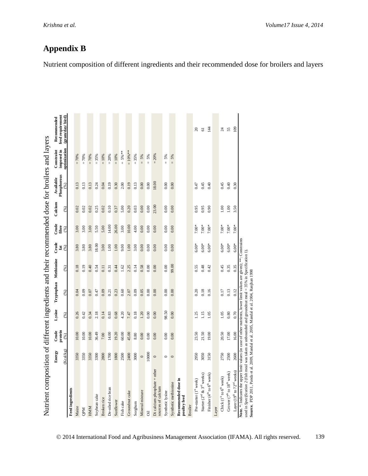| Nutrient composition of different ingredients and their recommended dose for broilers and layers                                                                                                                                                                                                                               |           |                  |        |                       |       |            |                |          |                          |                          |                                 |
|--------------------------------------------------------------------------------------------------------------------------------------------------------------------------------------------------------------------------------------------------------------------------------------------------------------------------------|-----------|------------------|--------|-----------------------|-------|------------|----------------|----------|--------------------------|--------------------------|---------------------------------|
|                                                                                                                                                                                                                                                                                                                                | Energy    | Crude<br>protein | Lysine | Tryptophan Methionine |       | Crude      | Crude<br>fibre | Calcium  | Phosphorous<br>Available | imposed in<br>Constraint | feed requirement<br>Recommended |
|                                                                                                                                                                                                                                                                                                                                | (Kcal/kg) | (96)             | (%)    | (96)                  | (%)   | fat $($ %) | (96)           | (%)      | $(\%)$                   | ptimization              | (gram/day/bird)                 |
| <b>Feed ingredients</b>                                                                                                                                                                                                                                                                                                        |           |                  |        |                       |       |            |                |          |                          |                          |                                 |
| Maize                                                                                                                                                                                                                                                                                                                          | 3350      | 10.00            | 0.26   | 0.04                  | 0.18  | 3.80       | 3.00           | 0.02     | 0.13                     | $= 70%$                  |                                 |
| <b>NdO</b>                                                                                                                                                                                                                                                                                                                     | 3350      | 10.00            | 0.42   | 0.09                  | 0.19  | 3.80       | 3.00           | 0.02     | 0.13                     | $= 70%$                  |                                 |
| HMM                                                                                                                                                                                                                                                                                                                            | 3350      | 10.00            | 0.34   | 0.07                  | 0.40  | 3.80       | 3.00           | 0.02     | 0.13                     | $= 70%$                  |                                 |
| Soybean cake                                                                                                                                                                                                                                                                                                                   | 3300      | 36.49            | 2.18   | 0.47                  | 0.54  | 18.00      | 5.50           | 0.25     | 0.24                     | $= 35%$                  |                                 |
| Broken rice                                                                                                                                                                                                                                                                                                                    | 2800      | 7.00             | 0.14   | 0.09                  | 0.11  | 3.00       | 5.00           | 0.02     | 0.04                     | $= 10%$                  |                                 |
| De-oiled rice bran                                                                                                                                                                                                                                                                                                             | 1700      | 14.00            | 0.83   | 0.21                  | 0.31  | $1.00\,$   | 14.00          | 0.10     | 0.19                     | $= 20%$                  |                                 |
| Sunflower                                                                                                                                                                                                                                                                                                                      | 1800      | 19.20            | 0.68   | 0.23                  | 0.44  | 1.00       | 26.00          | 0.37     | 0.30                     | $= 10%$                  |                                 |
| Fish cake                                                                                                                                                                                                                                                                                                                      | 2500      | 60.00            | 4.20   | 0.60                  | 1.62  | 9.00       | 3.00           | 5.00     | 2.00                     | $= 5%$ **                |                                 |
| Groundnut cake                                                                                                                                                                                                                                                                                                                 | 2400      | 45.00            | 7.47   | 2.07                  | 2.25  | 1.00       | 10.00          | 0.20     | 0.19                     | $=10\%$ **               |                                 |
| Sorghum                                                                                                                                                                                                                                                                                                                        | 3000      | 8.80             | 0.18   | 0.09                  | 0.14  | 3.00       | 4.00           | 0.03     | 0.13                     | $= 35%$                  |                                 |
| Mineral mixture                                                                                                                                                                                                                                                                                                                | $\circ$   | 0.00             | 1.20   | 0.05                  | 0.58  | 0.00       | 0.00           | 0.00     | 0.00                     | $= 5%$                   |                                 |
| öil                                                                                                                                                                                                                                                                                                                            | 10000     | 0.00             | 0.00   | 0.00                  | 0.00  | 0.00       | 0.00           | 0.00     | 0.00                     | 5%<br>$\mathbf{u}$       |                                 |
| Di calcium phosphate + other<br>sources of calcium                                                                                                                                                                                                                                                                             | $\circ$   | 0.00             | 0.00   | 0.00                  | 0.00  | 0.00       | 0.00           | 23.00    | 18.00                    | $= 20%$                  |                                 |
| Synthetic lysine                                                                                                                                                                                                                                                                                                               | $\circ$   | 0.00             | 98.50  | 0.00                  | 0.00  | 0.00       | 0.00           | 0.00     | 0.00                     | 5%<br>$\mathbf{H}$       |                                 |
| Synthetic methionine                                                                                                                                                                                                                                                                                                           | $\circ$   | 0.00             | 0.00   | 0.00                  | 99.00 | 0.00       | 0.00           | 0.00     | 0.00                     | 5%<br>$\mathbf{H}$       |                                 |
| Recommended dose in<br>poultry feed                                                                                                                                                                                                                                                                                            |           |                  |        |                       |       |            |                |          |                          |                          |                                 |
| <b>Broiler</b>                                                                                                                                                                                                                                                                                                                 |           |                  |        |                       |       |            |                |          |                          |                          |                                 |
| Pre-starter (1 <sup>st</sup> week)                                                                                                                                                                                                                                                                                             | 2950      | 23.50            | 1.25   | 0.20                  | 0.55  | $6.00*$    | $7.00*$        | 0.95     | 0.47                     |                          | $\approx$                       |
| Starter ( $2nd$ & $3rd$ weeks)                                                                                                                                                                                                                                                                                                 | 3050      | 21.50            | 1.15   | 0.18                  | 0.48  | $6.00*$    | $7.00*$        | 0.95     | 0.45                     |                          | 61                              |
| Finisher (4 <sup>th</sup> to 6 <sup>th</sup> week)                                                                                                                                                                                                                                                                             | 3150      | 19.00            | 1.05   | 0.16                  | 0.42  | $6.00*$    | $7.00*$        | 0.90     | 0.40                     |                          | $\overline{14}$                 |
| Layer                                                                                                                                                                                                                                                                                                                          |           |                  |        |                       |       |            |                |          |                          |                          |                                 |
| Chick ( $Ist$ to $6th$ week)                                                                                                                                                                                                                                                                                                   | 2750      | 20.50            | 1.05   | 0.17                  | 0.45  | $6.00*$    | $7.00*$        | 1.00     | 0.45                     |                          | 24                              |
| Grower ( $7^{\text{th}}$ to $18^{\text{th}}$ week)                                                                                                                                                                                                                                                                             | 2500      | 17.00            | 0.80   | 0.13                  | 0.35  | $6.00*$    | $7.00*$        | $1.00\,$ | 0.40                     |                          | 55                              |
| Layer (19 <sup>th</sup> to 72 <sup>nd</sup> weeks)                                                                                                                                                                                                                                                                             | 2600      | 16.00            | 0.70   | 0.12                  | 0.35  | $6.00*$    | $7.00*$        | 3.50     | 0.30                     |                          | 109                             |
| Note. *: Indicates the upper limit values (in case of other nutrients, lower limit values are given); ***: Constraints<br>used in Specification 2 (fish meal was taken as unbounded and groundnut meal = 35% in Specification 1).<br>Source. PDP 2011, Panda et al. 2009, Mandal et al. 2005, Mandal et al. 2004, Ranjhan 1998 |           |                  |        |                       |       |            |                |          |                          |                          |                                 |

# **Appendix B**

Nutrient composition of different ingredients and their recommended dose for broilers and layers